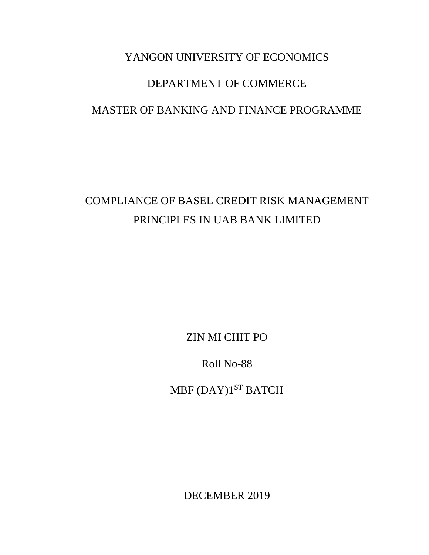# YANGON UNIVERSITY OF ECONOMICS DEPARTMENT OF COMMERCE MASTER OF BANKING AND FINANCE PROGRAMME

# COMPLIANCE OF BASEL CREDIT RISK MANAGEMENT PRINCIPLES IN UAB BANK LIMITED

ZIN MI CHIT PO

Roll No-88

MBF (DAY)1 ST BATCH

DECEMBER 2019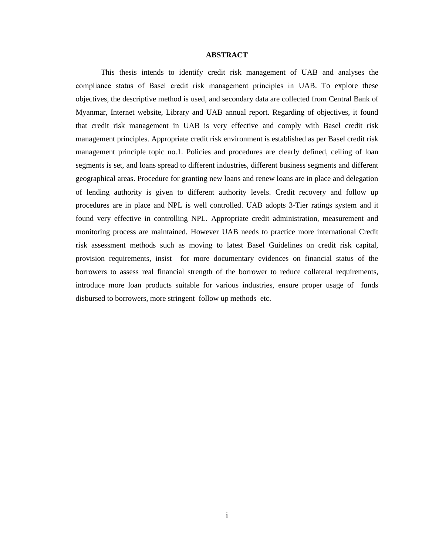#### **ABSTRACT**

This thesis intends to identify credit risk management of UAB and analyses the compliance status of Basel credit risk management principles in UAB. To explore these objectives, the descriptive method is used, and secondary data are collected from Central Bank of Myanmar, Internet website, Library and UAB annual report. Regarding of objectives, it found that credit risk management in UAB is very effective and comply with Basel credit risk management principles. Appropriate credit risk environment is established as per Basel credit risk management principle topic no.1. Policies and procedures are clearly defined, ceiling of loan segments is set, and loans spread to different industries, different business segments and different geographical areas. Procedure for granting new loans and renew loans are in place and delegation of lending authority is given to different authority levels. Credit recovery and follow up procedures are in place and NPL is well controlled. UAB adopts 3-Tier ratings system and it found very effective in controlling NPL. Appropriate credit administration, measurement and monitoring process are maintained. However UAB needs to practice more international Credit risk assessment methods such as moving to latest Basel Guidelines on credit risk capital, provision requirements, insist for more documentary evidences on financial status of the borrowers to assess real financial strength of the borrower to reduce collateral requirements, introduce more loan products suitable for various industries, ensure proper usage of funds disbursed to borrowers, more stringent follow up methods etc.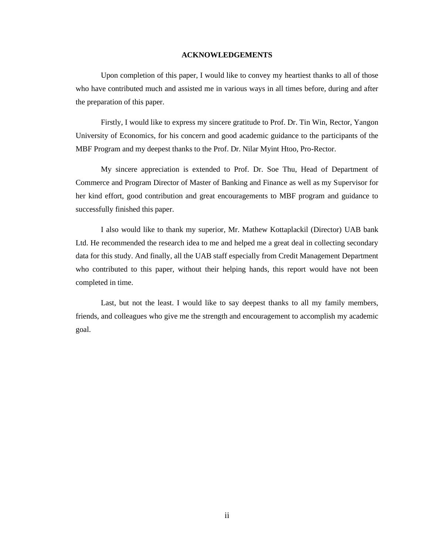#### **ACKNOWLEDGEMENTS**

Upon completion of this paper, I would like to convey my heartiest thanks to all of those who have contributed much and assisted me in various ways in all times before, during and after the preparation of this paper.

Firstly, I would like to express my sincere gratitude to Prof. Dr. Tin Win, Rector, Yangon University of Economics, for his concern and good academic guidance to the participants of the MBF Program and my deepest thanks to the Prof. Dr. Nilar Myint Htoo, Pro-Rector.

My sincere appreciation is extended to Prof. Dr. Soe Thu, Head of Department of Commerce and Program Director of Master of Banking and Finance as well as my Supervisor for her kind effort, good contribution and great encouragements to MBF program and guidance to successfully finished this paper.

I also would like to thank my superior, Mr. Mathew Kottaplackil (Director) UAB bank Ltd. He recommended the research idea to me and helped me a great deal in collecting secondary data for this study. And finally, all the UAB staff especially from Credit Management Department who contributed to this paper, without their helping hands, this report would have not been completed in time.

Last, but not the least. I would like to say deepest thanks to all my family members, friends, and colleagues who give me the strength and encouragement to accomplish my academic goal.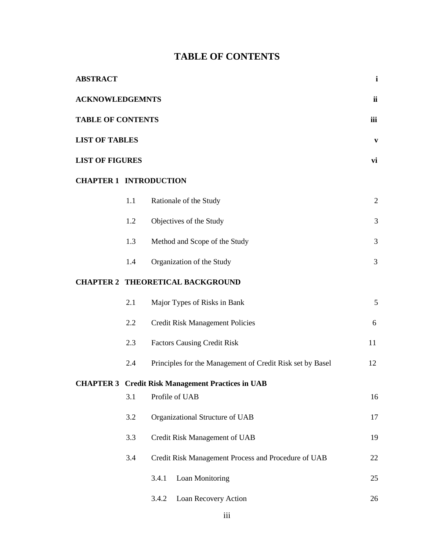# **TABLE OF CONTENTS**

| <b>ABSTRACT</b>               |     |                                                           | $\mathbf{i}$   |
|-------------------------------|-----|-----------------------------------------------------------|----------------|
| <b>ACKNOWLEDGEMNTS</b>        |     |                                                           | ii             |
| <b>TABLE OF CONTENTS</b>      |     |                                                           | iii            |
| <b>LIST OF TABLES</b>         |     |                                                           | $\mathbf{V}$   |
| <b>LIST OF FIGURES</b>        |     |                                                           | vi             |
| <b>CHAPTER 1 INTRODUCTION</b> |     |                                                           |                |
|                               | 1.1 | Rationale of the Study                                    | $\overline{2}$ |
|                               | 1.2 | Objectives of the Study                                   | 3              |
|                               | 1.3 | Method and Scope of the Study                             | 3              |
|                               | 1.4 | Organization of the Study                                 | $\mathfrak{Z}$ |
|                               |     | <b>CHAPTER 2 THEORETICAL BACKGROUND</b>                   |                |
|                               | 2.1 | Major Types of Risks in Bank                              | 5              |
|                               | 2.2 | <b>Credit Risk Management Policies</b>                    | 6              |
|                               | 2.3 | <b>Factors Causing Credit Risk</b>                        | 11             |
|                               | 2.4 | Principles for the Management of Credit Risk set by Basel | 12             |
|                               |     | <b>CHAPTER 3 Credit Risk Management Practices in UAB</b>  |                |
|                               | 3.1 | Profile of UAB                                            | 16             |
|                               | 3.2 | Organizational Structure of UAB                           | 17             |
|                               | 3.3 | Credit Risk Management of UAB                             | 19             |
|                               | 3.4 | Credit Risk Management Process and Procedure of UAB       | 22             |
|                               |     | Loan Monitoring<br>3.4.1                                  | 25             |
|                               |     | Loan Recovery Action<br>3.4.2                             | 26             |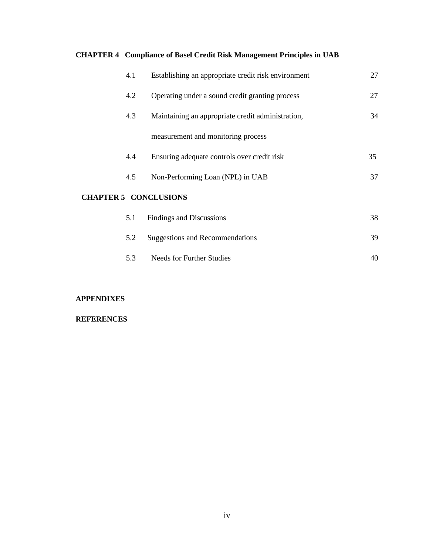### **CHAPTER 4 Compliance of Basel Credit Risk Management Principles in UAB**

| 4.1                          | Establishing an appropriate credit risk environment | 27 |
|------------------------------|-----------------------------------------------------|----|
| 4.2                          | Operating under a sound credit granting process     | 27 |
| 4.3                          | Maintaining an appropriate credit administration,   | 34 |
|                              | measurement and monitoring process                  |    |
| 4.4                          | Ensuring adequate controls over credit risk         | 35 |
| 4.5                          | Non-Performing Loan (NPL) in UAB                    | 37 |
| <b>CHAPTER 5 CONCLUSIONS</b> |                                                     |    |
| 5.1                          | Findings and Discussions                            | 38 |

|     | 5.2 Suggestions and Recommendations | 39 |
|-----|-------------------------------------|----|
| 5.3 | Needs for Further Studies           |    |

#### **APPENDIXES**

#### **REFERENCES**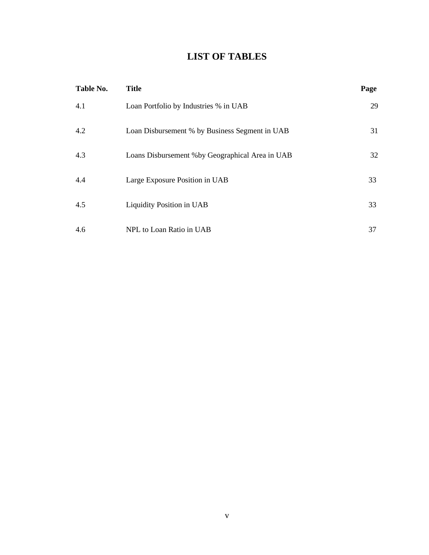# **LIST OF TABLES**

| Table No. | <b>Title</b>                                     | Page |
|-----------|--------------------------------------------------|------|
| 4.1       | Loan Portfolio by Industries % in UAB            | 29   |
| 4.2       | Loan Disbursement % by Business Segment in UAB   | 31   |
| 4.3       | Loans Disbursement % by Geographical Area in UAB | 32   |
| 4.4       | Large Exposure Position in UAB                   | 33   |
| 4.5       | Liquidity Position in UAB                        | 33   |
| 4.6       | NPL to Loan Ratio in UAB                         | 37   |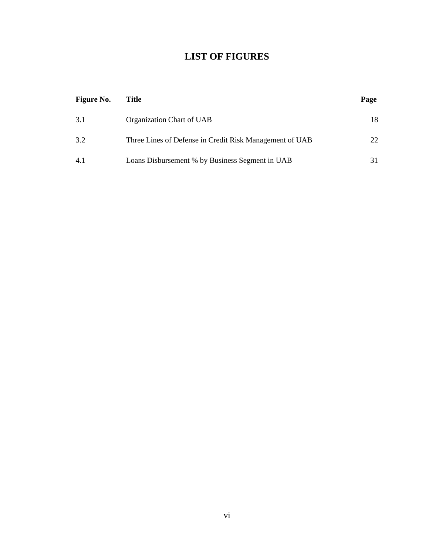# **LIST OF FIGURES**

| <b>Figure No.</b> | Title                                                   | Page |
|-------------------|---------------------------------------------------------|------|
| 3.1               | Organization Chart of UAB                               | 18   |
| 3.2               | Three Lines of Defense in Credit Risk Management of UAB | 22   |
| 4.1               | Loans Disbursement % by Business Segment in UAB         |      |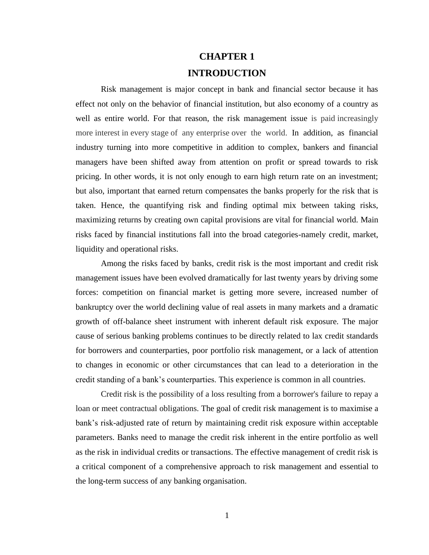# **CHAPTER 1**

### **INTRODUCTION**

Risk management is major concept in bank and financial sector because it has effect not only on the behavior of financial institution, but also economy of a country as well as entire world. For that reason, the risk management issue is paid increasingly more interest in every stage of any enterprise over the world. In addition, as financial industry turning into more competitive in addition to complex, bankers and financial managers have been shifted away from attention on profit or spread towards to risk pricing. In other words, it is not only enough to earn high return rate on an investment; but also, important that earned return compensates the banks properly for the risk that is taken. Hence, the quantifying risk and finding optimal mix between taking risks, maximizing returns by creating own capital provisions are vital for financial world. Main risks faced by financial institutions fall into the broad categories-namely credit, market, liquidity and operational risks.

Among the risks faced by banks, credit risk is the most important and credit risk management issues have been evolved dramatically for last twenty years by driving some forces: competition on financial market is getting more severe, increased number of bankruptcy over the world declining value of real assets in many markets and a dramatic growth of off-balance sheet instrument with inherent default risk exposure. The major cause of serious banking problems continues to be directly related to lax credit standards for borrowers and counterparties, poor portfolio risk management, or a lack of attention to changes in economic or other circumstances that can lead to a deterioration in the credit standing of a bank's counterparties. This experience is common in all countries.

Credit risk is the possibility of a loss resulting from a borrower's failure to repay a loan or meet contractual obligations. The goal of credit risk management is to maximise a bank's risk-adjusted rate of return by maintaining credit risk exposure within acceptable parameters. Banks need to manage the credit risk inherent in the entire portfolio as well as the risk in individual credits or transactions. The effective management of credit risk is a critical component of a comprehensive approach to risk management and essential to the long-term success of any banking organisation.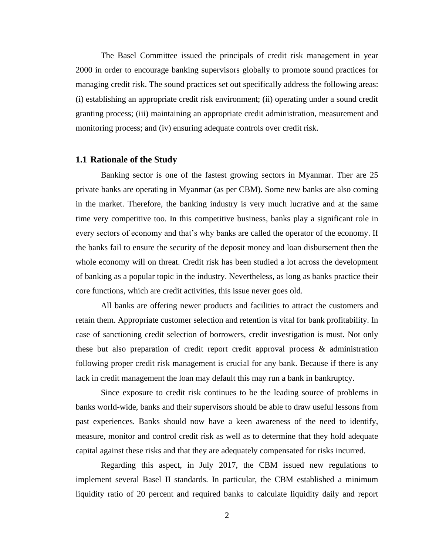The Basel Committee issued the principals of credit risk management in year 2000 in order to encourage banking supervisors globally to promote sound practices for managing credit risk. The sound practices set out specifically address the following areas: (i) establishing an appropriate credit risk environment; (ii) operating under a sound credit granting process; (iii) maintaining an appropriate credit administration, measurement and monitoring process; and (iv) ensuring adequate controls over credit risk.

#### **1.1 Rationale of the Study**

Banking sector is one of the fastest growing sectors in Myanmar. Ther are 25 private banks are operating in Myanmar (as per CBM). Some new banks are also coming in the market. Therefore, the banking industry is very much lucrative and at the same time very competitive too. In this competitive business, banks play a significant role in every sectors of economy and that's why banks are called the operator of the economy. If the banks fail to ensure the security of the deposit money and loan disbursement then the whole economy will on threat. Credit risk has been studied a lot across the development of banking as a popular topic in the industry. Nevertheless, as long as banks practice their core functions, which are credit activities, this issue never goes old.

All banks are offering newer products and facilities to attract the customers and retain them. Appropriate customer selection and retention is vital for bank profitability. In case of sanctioning credit selection of borrowers, credit investigation is must. Not only these but also preparation of credit report credit approval process & administration following proper credit risk management is crucial for any bank. Because if there is any lack in credit management the loan may default this may run a bank in bankruptcy.

Since exposure to credit risk continues to be the leading source of problems in banks world-wide, banks and their supervisors should be able to draw useful lessons from past experiences. Banks should now have a keen awareness of the need to identify, measure, monitor and control credit risk as well as to determine that they hold adequate capital against these risks and that they are adequately compensated for risks incurred.

Regarding this aspect, in July 2017, the CBM issued new regulations to implement several Basel II standards. In particular, the CBM established a minimum liquidity ratio of 20 percent and required banks to calculate liquidity daily and report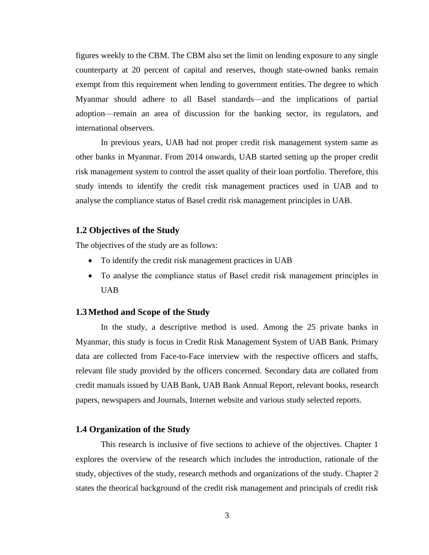figures weekly to the CBM. The CBM also set the limit on lending exposure to any single counterparty at 20 percent of capital and reserves, though state-owned banks remain exempt from this requirement when lending to government entities. The degree to which Myanmar should adhere to all Basel standards—and the implications of partial adoption—remain an area of discussion for the banking sector, its regulators, and international observers.

In previous years, UAB had not proper credit risk management system same as other banks in Myanmar. From 2014 onwards, UAB started setting up the proper credit risk management system to control the asset quality of their loan portfolio. Therefore, this study intends to identify the credit risk management practices used in UAB and to analyse the compliance status of Basel credit risk management principles in UAB.

#### **1.2 Objectives of the Study**

The objectives of the study are as follows:

- To identify the credit risk management practices in UAB
- To analyse the compliance status of Basel credit risk management principles in UAB

#### **1.3Method and Scope of the Study**

In the study, a descriptive method is used. Among the 25 private banks in Myanmar, this study is focus in Credit Risk Management System of UAB Bank. Primary data are collected from Face-to-Face interview with the respective officers and staffs, relevant file study provided by the officers concerned. Secondary data are collated from credit manuals issued by UAB Bank, UAB Bank Annual Report, relevant books, research papers, newspapers and Journals, Internet website and various study selected reports.

#### **1.4 Organization of the Study**

This research is inclusive of five sections to achieve of the objectives. Chapter 1 explores the overview of the research which includes the introduction, rationale of the study, objectives of the study, research methods and organizations of the study. Chapter 2 states the theorical background of the credit risk management and principals of credit risk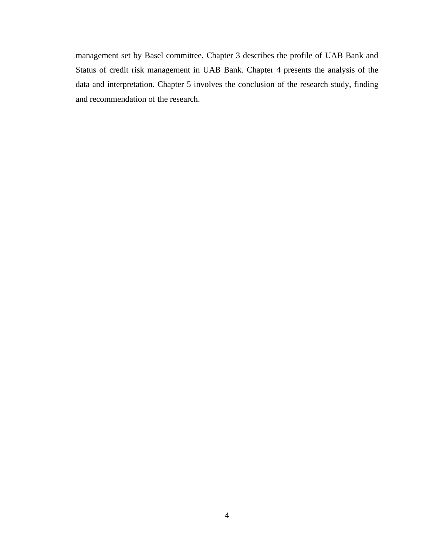management set by Basel committee. Chapter 3 describes the profile of UAB Bank and Status of credit risk management in UAB Bank. Chapter 4 presents the analysis of the data and interpretation. Chapter 5 involves the conclusion of the research study, finding and recommendation of the research.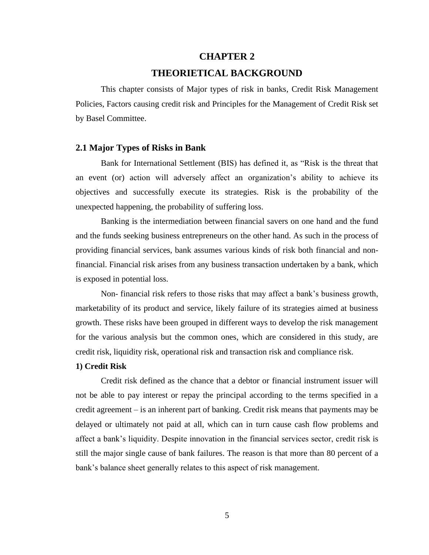#### **CHAPTER 2**

#### **THEORIETICAL BACKGROUND**

 This chapter consists of Major types of risk in banks, Credit Risk Management Policies, Factors causing credit risk and Principles for the Management of Credit Risk set by Basel Committee.

#### **2.1 Major Types of Risks in Bank**

Bank for International Settlement (BIS) has defined it, as "Risk is the threat that an event (or) action will adversely affect an organization's ability to achieve its objectives and successfully execute its strategies. Risk is the probability of the unexpected happening, the probability of suffering loss.

Banking is the intermediation between financial savers on one hand and the fund and the funds seeking business entrepreneurs on the other hand. As such in the process of providing financial services, bank assumes various kinds of risk both financial and nonfinancial. Financial risk arises from any business transaction undertaken by a bank, which is exposed in potential loss.

Non- financial risk refers to those risks that may affect a bank's business growth, marketability of its product and service, likely failure of its strategies aimed at business growth. These risks have been grouped in different ways to develop the risk management for the various analysis but the common ones, which are considered in this study, are credit risk, liquidity risk, operational risk and transaction risk and compliance risk.

#### **1) Credit Risk**

Credit risk defined as the chance that a debtor or financial instrument issuer will not be able to pay interest or repay the principal according to the terms specified in a credit agreement – is an inherent part of banking. Credit risk means that payments may be delayed or ultimately not paid at all, which can in turn cause cash flow problems and affect a bank's liquidity. Despite innovation in the financial services sector, credit risk is still the major single cause of bank failures. The reason is that more than 80 percent of a bank's balance sheet generally relates to this aspect of risk management.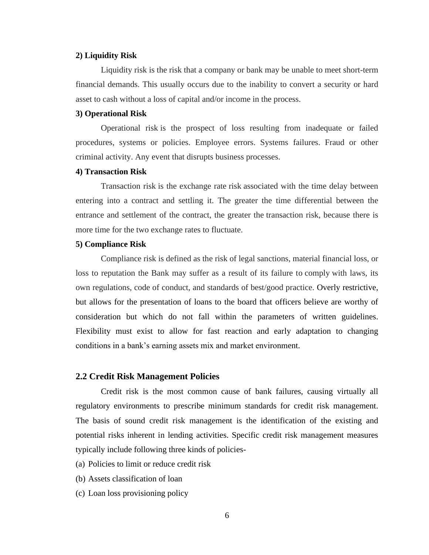#### **2) Liquidity Risk**

Liquidity risk is the risk that a company or bank may be unable to meet short-term financial demands. This usually occurs due to the inability to convert a security or hard asset to cash without a loss of capital and/or income in the process.

#### **3) Operational Risk**

Operational risk is the prospect of loss resulting from inadequate or failed procedures, systems or policies. Employee errors. Systems failures. Fraud or other criminal activity. Any event that disrupts business processes.

#### **4) Transaction Risk**

Transaction risk is the exchange rate risk associated with the time delay between entering into a contract and settling it. The greater the time differential between the entrance and settlement of the contract, the greater the transaction risk, because there is more time for the two exchange rates to fluctuate.

#### **5) Compliance Risk**

Compliance risk is defined as the risk of legal sanctions, material financial loss, or loss to reputation the Bank may suffer as a result of its failure to comply with laws, its own regulations, code of conduct, and standards of best/good practice. Overly restrictive, but allows for the presentation of loans to the board that officers believe are worthy of consideration but which do not fall within the parameters of written guidelines. Flexibility must exist to allow for fast reaction and early adaptation to changing conditions in a bank's earning assets mix and market environment.

#### **2.2 Credit Risk Management Policies**

Credit risk is the most common cause of bank failures, causing virtually all regulatory environments to prescribe minimum standards for credit risk management. The basis of sound credit risk management is the identification of the existing and potential risks inherent in lending activities. Specific credit risk management measures typically include following three kinds of policies-

- (a) Policies to limit or reduce credit risk
- (b) Assets classification of loan
- (c) Loan loss provisioning policy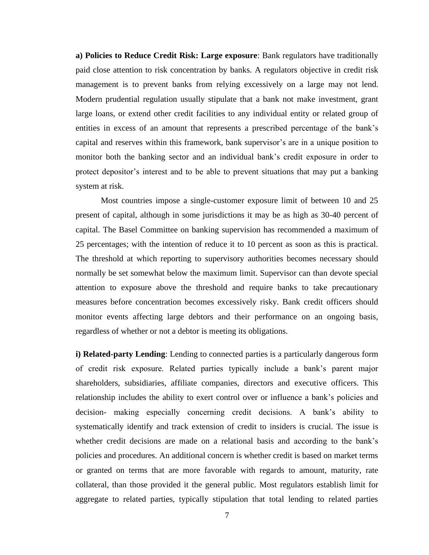**a) Policies to Reduce Credit Risk: Large exposure**: Bank regulators have traditionally paid close attention to risk concentration by banks. A regulators objective in credit risk management is to prevent banks from relying excessively on a large may not lend. Modern prudential regulation usually stipulate that a bank not make investment, grant large loans, or extend other credit facilities to any individual entity or related group of entities in excess of an amount that represents a prescribed percentage of the bank's capital and reserves within this framework, bank supervisor's are in a unique position to monitor both the banking sector and an individual bank's credit exposure in order to protect depositor's interest and to be able to prevent situations that may put a banking system at risk.

Most countries impose a single-customer exposure limit of between 10 and 25 present of capital, although in some jurisdictions it may be as high as 30-40 percent of capital. The Basel Committee on banking supervision has recommended a maximum of 25 percentages; with the intention of reduce it to 10 percent as soon as this is practical. The threshold at which reporting to supervisory authorities becomes necessary should normally be set somewhat below the maximum limit. Supervisor can than devote special attention to exposure above the threshold and require banks to take precautionary measures before concentration becomes excessively risky. Bank credit officers should monitor events affecting large debtors and their performance on an ongoing basis, regardless of whether or not a debtor is meeting its obligations.

**i) Related-party Lending**: Lending to connected parties is a particularly dangerous form of credit risk exposure. Related parties typically include a bank's parent major shareholders, subsidiaries, affiliate companies, directors and executive officers. This relationship includes the ability to exert control over or influence a bank's policies and decision- making especially concerning credit decisions. A bank's ability to systematically identify and track extension of credit to insiders is crucial. The issue is whether credit decisions are made on a relational basis and according to the bank's policies and procedures. An additional concern is whether credit is based on market terms or granted on terms that are more favorable with regards to amount, maturity, rate collateral, than those provided it the general public. Most regulators establish limit for aggregate to related parties, typically stipulation that total lending to related parties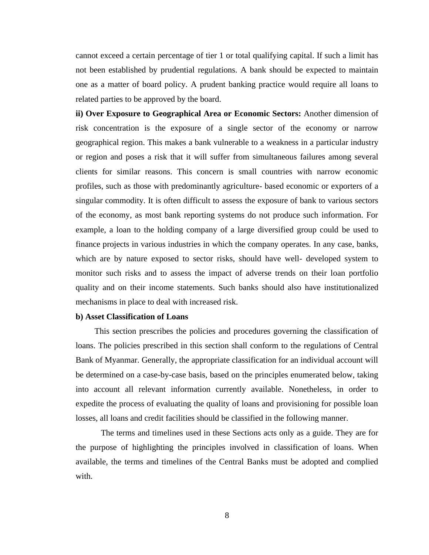cannot exceed a certain percentage of tier 1 or total qualifying capital. If such a limit has not been established by prudential regulations. A bank should be expected to maintain one as a matter of board policy. A prudent banking practice would require all loans to related parties to be approved by the board.

**ii) Over Exposure to Geographical Area or Economic Sectors:** Another dimension of risk concentration is the exposure of a single sector of the economy or narrow geographical region. This makes a bank vulnerable to a weakness in a particular industry or region and poses a risk that it will suffer from simultaneous failures among several clients for similar reasons. This concern is small countries with narrow economic profiles, such as those with predominantly agriculture- based economic or exporters of a singular commodity. It is often difficult to assess the exposure of bank to various sectors of the economy, as most bank reporting systems do not produce such information. For example, a loan to the holding company of a large diversified group could be used to finance projects in various industries in which the company operates. In any case, banks, which are by nature exposed to sector risks, should have well- developed system to monitor such risks and to assess the impact of adverse trends on their loan portfolio quality and on their income statements. Such banks should also have institutionalized mechanisms in place to deal with increased risk.

#### **b) Asset Classification of Loans**

 This section prescribes the policies and procedures governing the classification of loans. The policies prescribed in this section shall conform to the regulations of Central Bank of Myanmar. Generally, the appropriate classification for an individual account will be determined on a case-by-case basis, based on the principles enumerated below, taking into account all relevant information currently available. Nonetheless, in order to expedite the process of evaluating the quality of loans and provisioning for possible loan losses, all loans and credit facilities should be classified in the following manner.

The terms and timelines used in these Sections acts only as a guide. They are for the purpose of highlighting the principles involved in classification of loans. When available, the terms and timelines of the Central Banks must be adopted and complied with.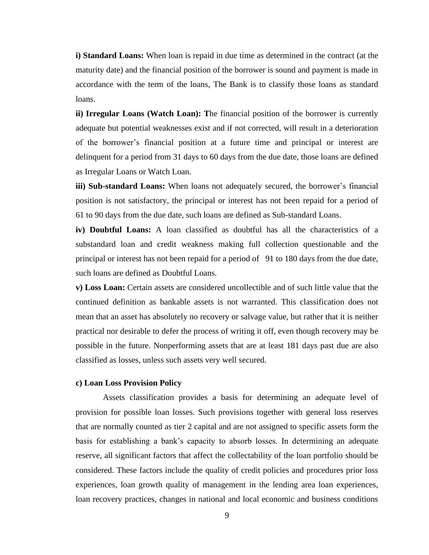**i) Standard Loans:** When loan is repaid in due time as determined in the contract (at the maturity date) and the financial position of the borrower is sound and payment is made in accordance with the term of the loans, The Bank is to classify those loans as standard loans.

**ii) Irregular Loans (Watch Loan): T**he financial position of the borrower is currently adequate but potential weaknesses exist and if not corrected, will result in a deterioration of the borrower's financial position at a future time and principal or interest are delinquent for a period from 31 days to 60 days from the due date, those loans are defined as Irregular Loans or Watch Loan.

**iii) Sub-standard Loans:** When loans not adequately secured, the borrower's financial position is not satisfactory, the principal or interest has not been repaid for a period of 61 to 90 days from the due date, such loans are defined as Sub-standard Loans.

**iv) Doubtful Loans:** A loan classified as doubtful has all the characteristics of a substandard loan and credit weakness making full collection questionable and the principal or interest has not been repaid for a period of 91 to 180 days from the due date, such loans are defined as Doubtful Loans.

**v) Loss Loan:** Certain assets are considered uncollectible and of such little value that the continued definition as bankable assets is not warranted. This classification does not mean that an asset has absolutely no recovery or salvage value, but rather that it is neither practical nor desirable to defer the process of writing it off, even though recovery may be possible in the future. Nonperforming assets that are at least 181 days past due are also classified as losses, unless such assets very well secured.

#### **c) Loan Loss Provision Policy**

 Assets classification provides a basis for determining an adequate level of provision for possible loan losses. Such provisions together with general loss reserves that are normally counted as tier 2 capital and are not assigned to specific assets form the basis for establishing a bank's capacity to absorb losses. In determining an adequate reserve, all significant factors that affect the collectability of the loan portfolio should be considered. These factors include the quality of credit policies and procedures prior loss experiences, loan growth quality of management in the lending area loan experiences, loan recovery practices, changes in national and local economic and business conditions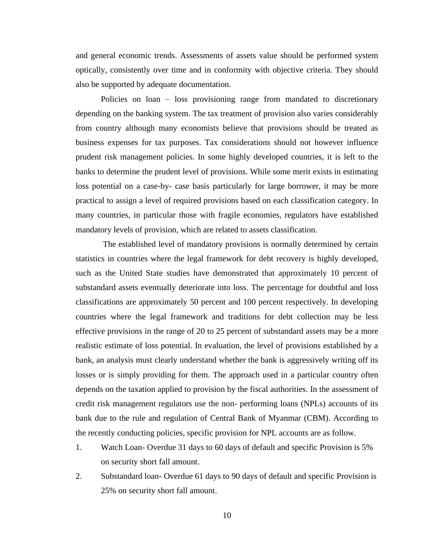and general economic trends. Assessments of assets value should be performed system optically, consistently over time and in conformity with objective criteria. They should also be supported by adequate documentation.

Policies on loan – loss provisioning range from mandated to discretionary depending on the banking system. The tax treatment of provision also varies considerably from country although many economists believe that provisions should be treated as business expenses for tax purposes. Tax considerations should not however influence prudent risk management policies. In some highly developed countries, it is left to the banks to determine the prudent level of provisions. While some merit exists in estimating loss potential on a case-by- case basis particularly for large borrower, it may be more practical to assign a level of required provisions based on each classification category. In many countries, in particular those with fragile economies, regulators have established mandatory levels of provision, which are related to assets classification.

The established level of mandatory provisions is normally determined by certain statistics in countries where the legal framework for debt recovery is highly developed, such as the United State studies have demonstrated that approximately 10 percent of substandard assets eventually deteriorate into loss. The percentage for doubtful and loss classifications are approximately 50 percent and 100 percent respectively. In developing countries where the legal framework and traditions for debt collection may be less effective provisions in the range of 20 to 25 percent of substandard assets may be a more realistic estimate of loss potential. In evaluation, the level of provisions established by a bank, an analysis must clearly understand whether the bank is aggressively writing off its losses or is simply providing for them. The approach used in a particular country often depends on the taxation applied to provision by the fiscal authorities. In the assessment of credit risk management regulators use the non- performing loans (NPLs) accounts of its bank due to the rule and regulation of Central Bank of Myanmar (CBM). According to the recently conducting policies, specific provision for NPL accounts are as follow.

- 1. Watch Loan- Overdue 31 days to 60 days of default and specific Provision is 5% on security short fall amount.
- 2. Substandard loan- Overdue 61 days to 90 days of default and specific Provision is 25% on security short fall amount.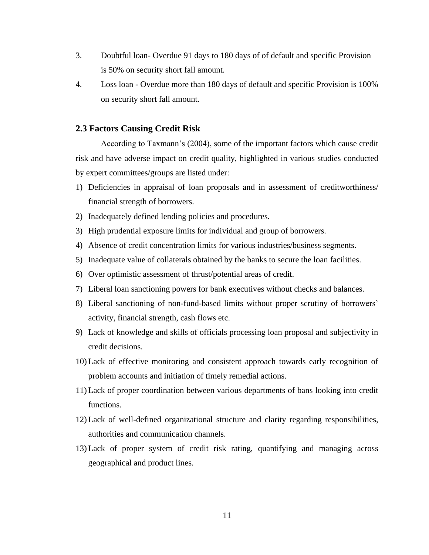- 3. Doubtful loan- Overdue 91 days to 180 days of of default and specific Provision is 50% on security short fall amount.
- 4. Loss loan Overdue more than 180 days of default and specific Provision is 100% on security short fall amount.

#### **2.3 Factors Causing Credit Risk**

According to Taxmann's (2004), some of the important factors which cause credit risk and have adverse impact on credit quality, highlighted in various studies conducted by expert committees/groups are listed under:

- 1) Deficiencies in appraisal of loan proposals and in assessment of creditworthiness/ financial strength of borrowers.
- 2) Inadequately defined lending policies and procedures.
- 3) High prudential exposure limits for individual and group of borrowers.
- 4) Absence of credit concentration limits for various industries/business segments.
- 5) Inadequate value of collaterals obtained by the banks to secure the loan facilities.
- 6) Over optimistic assessment of thrust/potential areas of credit.
- 7) Liberal loan sanctioning powers for bank executives without checks and balances.
- 8) Liberal sanctioning of non-fund-based limits without proper scrutiny of borrowers' activity, financial strength, cash flows etc.
- 9) Lack of knowledge and skills of officials processing loan proposal and subjectivity in credit decisions.
- 10) Lack of effective monitoring and consistent approach towards early recognition of problem accounts and initiation of timely remedial actions.
- 11) Lack of proper coordination between various departments of bans looking into credit functions.
- 12) Lack of well-defined organizational structure and clarity regarding responsibilities, authorities and communication channels.
- 13) Lack of proper system of credit risk rating, quantifying and managing across geographical and product lines.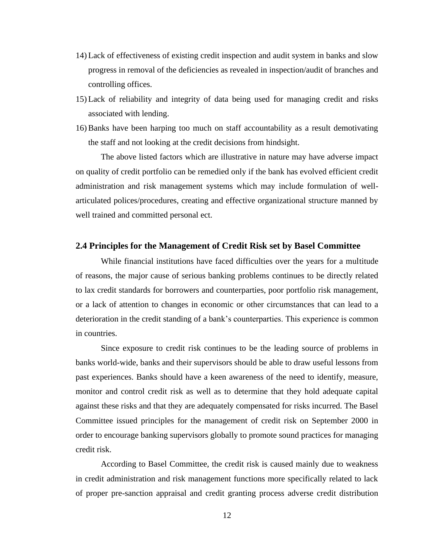- 14) Lack of effectiveness of existing credit inspection and audit system in banks and slow progress in removal of the deficiencies as revealed in inspection/audit of branches and controlling offices.
- 15) Lack of reliability and integrity of data being used for managing credit and risks associated with lending.
- 16) Banks have been harping too much on staff accountability as a result demotivating the staff and not looking at the credit decisions from hindsight.

The above listed factors which are illustrative in nature may have adverse impact on quality of credit portfolio can be remedied only if the bank has evolved efficient credit administration and risk management systems which may include formulation of wellarticulated polices/procedures, creating and effective organizational structure manned by well trained and committed personal ect.

#### **2.4 Principles for the Management of Credit Risk set by Basel Committee**

While financial institutions have faced difficulties over the years for a multitude of reasons, the major cause of serious banking problems continues to be directly related to lax credit standards for borrowers and counterparties, poor portfolio risk management, or a lack of attention to changes in economic or other circumstances that can lead to a deterioration in the credit standing of a bank's counterparties. This experience is common in countries.

Since exposure to credit risk continues to be the leading source of problems in banks world-wide, banks and their supervisors should be able to draw useful lessons from past experiences. Banks should have a keen awareness of the need to identify, measure, monitor and control credit risk as well as to determine that they hold adequate capital against these risks and that they are adequately compensated for risks incurred. The Basel Committee issued principles for the management of credit risk on September 2000 in order to encourage banking supervisors globally to promote sound practices for managing credit risk.

According to Basel Committee, the credit risk is caused mainly due to weakness in credit administration and risk management functions more specifically related to lack of proper pre-sanction appraisal and credit granting process adverse credit distribution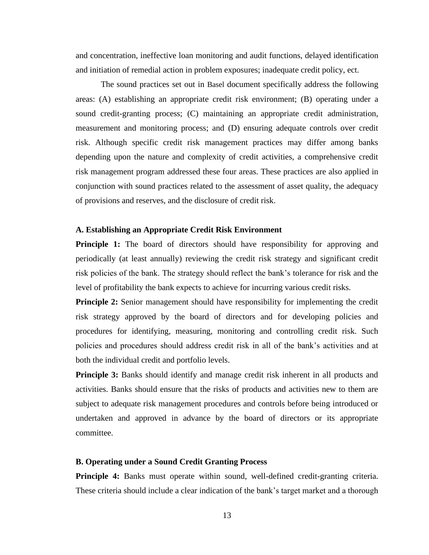and concentration, ineffective loan monitoring and audit functions, delayed identification and initiation of remedial action in problem exposures; inadequate credit policy, ect.

The sound practices set out in Basel document specifically address the following areas: (A) establishing an appropriate credit risk environment; (B) operating under a sound credit-granting process; (C) maintaining an appropriate credit administration, measurement and monitoring process; and (D) ensuring adequate controls over credit risk. Although specific credit risk management practices may differ among banks depending upon the nature and complexity of credit activities, a comprehensive credit risk management program addressed these four areas. These practices are also applied in conjunction with sound practices related to the assessment of asset quality, the adequacy of provisions and reserves, and the disclosure of credit risk.

#### **A. Establishing an Appropriate Credit Risk Environment**

**Principle 1:** The board of directors should have responsibility for approving and periodically (at least annually) reviewing the credit risk strategy and significant credit risk policies of the bank. The strategy should reflect the bank's tolerance for risk and the level of profitability the bank expects to achieve for incurring various credit risks.

**Principle 2:** Senior management should have responsibility for implementing the credit risk strategy approved by the board of directors and for developing policies and procedures for identifying, measuring, monitoring and controlling credit risk. Such policies and procedures should address credit risk in all of the bank's activities and at both the individual credit and portfolio levels.

**Principle 3:** Banks should identify and manage credit risk inherent in all products and activities. Banks should ensure that the risks of products and activities new to them are subject to adequate risk management procedures and controls before being introduced or undertaken and approved in advance by the board of directors or its appropriate committee.

#### **B. Operating under a Sound Credit Granting Process**

**Principle 4:** Banks must operate within sound, well-defined credit-granting criteria. These criteria should include a clear indication of the bank's target market and a thorough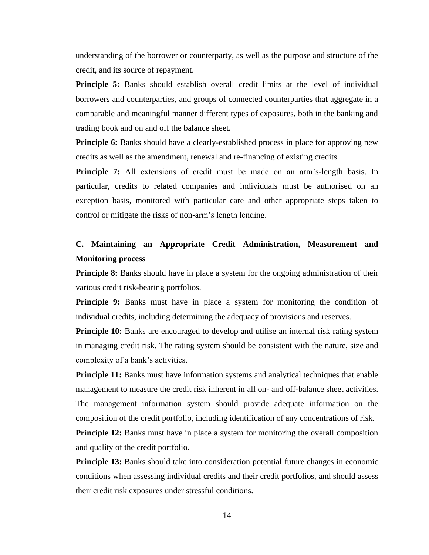understanding of the borrower or counterparty, as well as the purpose and structure of the credit, and its source of repayment.

**Principle 5:** Banks should establish overall credit limits at the level of individual borrowers and counterparties, and groups of connected counterparties that aggregate in a comparable and meaningful manner different types of exposures, both in the banking and trading book and on and off the balance sheet.

**Principle 6:** Banks should have a clearly-established process in place for approving new credits as well as the amendment, renewal and re-financing of existing credits.

**Principle 7:** All extensions of credit must be made on an arm's-length basis. In particular, credits to related companies and individuals must be authorised on an exception basis, monitored with particular care and other appropriate steps taken to control or mitigate the risks of non-arm's length lending.

### **C. Maintaining an Appropriate Credit Administration, Measurement and Monitoring process**

**Principle 8:** Banks should have in place a system for the ongoing administration of their various credit risk-bearing portfolios.

**Principle 9:** Banks must have in place a system for monitoring the condition of individual credits, including determining the adequacy of provisions and reserves.

**Principle 10:** Banks are encouraged to develop and utilise an internal risk rating system in managing credit risk. The rating system should be consistent with the nature, size and complexity of a bank's activities.

**Principle 11:** Banks must have information systems and analytical techniques that enable management to measure the credit risk inherent in all on- and off-balance sheet activities. The management information system should provide adequate information on the composition of the credit portfolio, including identification of any concentrations of risk.

**Principle 12:** Banks must have in place a system for monitoring the overall composition and quality of the credit portfolio.

**Principle 13:** Banks should take into consideration potential future changes in economic conditions when assessing individual credits and their credit portfolios, and should assess their credit risk exposures under stressful conditions.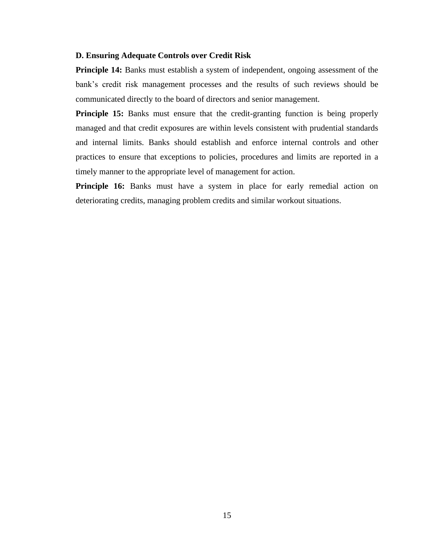#### **D. Ensuring Adequate Controls over Credit Risk**

**Principle 14:** Banks must establish a system of independent, ongoing assessment of the bank's credit risk management processes and the results of such reviews should be communicated directly to the board of directors and senior management.

**Principle 15:** Banks must ensure that the credit-granting function is being properly managed and that credit exposures are within levels consistent with prudential standards and internal limits. Banks should establish and enforce internal controls and other practices to ensure that exceptions to policies, procedures and limits are reported in a timely manner to the appropriate level of management for action.

**Principle 16:** Banks must have a system in place for early remedial action on deteriorating credits, managing problem credits and similar workout situations.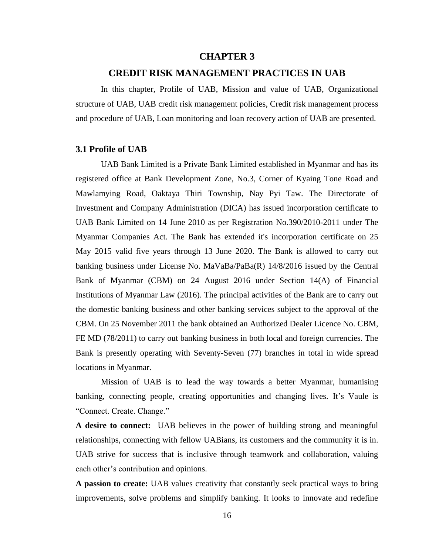#### **CHAPTER 3**

#### **CREDIT RISK MANAGEMENT PRACTICES IN UAB**

In this chapter, Profile of UAB, Mission and value of UAB, Organizational structure of UAB, UAB credit risk management policies, Credit risk management process and procedure of UAB, Loan monitoring and loan recovery action of UAB are presented.

#### **3.1 Profile of UAB**

UAB Bank Limited is a Private Bank Limited established in Myanmar and has its registered office at Bank Development Zone, No.3, Corner of Kyaing Tone Road and Mawlamying Road, Oaktaya Thiri Township, Nay Pyi Taw. The Directorate of Investment and Company Administration (DICA) has issued incorporation certificate to UAB Bank Limited on 14 June 2010 as per Registration No.390/2010-2011 under The Myanmar Companies Act. The Bank has extended it's incorporation certificate on 25 May 2015 valid five years through 13 June 2020. The Bank is allowed to carry out banking business under License No. MaVaBa/PaBa(R) 14/8/2016 issued by the Central Bank of Myanmar (CBM) on 24 August 2016 under Section 14(A) of Financial Institutions of Myanmar Law (2016). The principal activities of the Bank are to carry out the domestic banking business and other banking services subject to the approval of the CBM. On 25 November 2011 the bank obtained an Authorized Dealer Licence No. CBM, FE MD (78/2011) to carry out banking business in both local and foreign currencies. The Bank is presently operating with Seventy-Seven (77) branches in total in wide spread locations in Myanmar.

Mission of UAB is to lead the way towards a better Myanmar, humanising banking, connecting people, creating opportunities and changing lives. It's Vaule is "Connect. Create. Change."

**A desire to connect:** UAB believes in the power of building strong and meaningful relationships, connecting with fellow UABians, its customers and the community it is in. UAB strive for success that is inclusive through teamwork and collaboration, valuing each other's contribution and opinions.

**A passion to create:** UAB values creativity that constantly seek practical ways to bring improvements, solve problems and simplify banking. It looks to innovate and redefine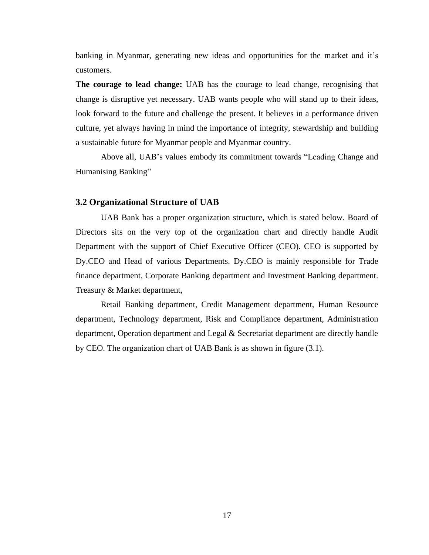banking in Myanmar, generating new ideas and opportunities for the market and it's customers.

**The courage to lead change:** UAB has the courage to lead change, recognising that change is disruptive yet necessary. UAB wants people who will stand up to their ideas, look forward to the future and challenge the present. It believes in a performance driven culture, yet always having in mind the importance of integrity, stewardship and building a sustainable future for Myanmar people and Myanmar country.

Above all, UAB's values embody its commitment towards "Leading Change and Humanising Banking"

#### **3.2 Organizational Structure of UAB**

UAB Bank has a proper organization structure, which is stated below. Board of Directors sits on the very top of the organization chart and directly handle Audit Department with the support of Chief Executive Officer (CEO). CEO is supported by Dy.CEO and Head of various Departments. Dy.CEO is mainly responsible for Trade finance department, Corporate Banking department and Investment Banking department. Treasury & Market department,

Retail Banking department, Credit Management department, Human Resource department, Technology department, Risk and Compliance department, Administration department, Operation department and Legal & Secretariat department are directly handle by CEO. The organization chart of UAB Bank is as shown in figure (3.1).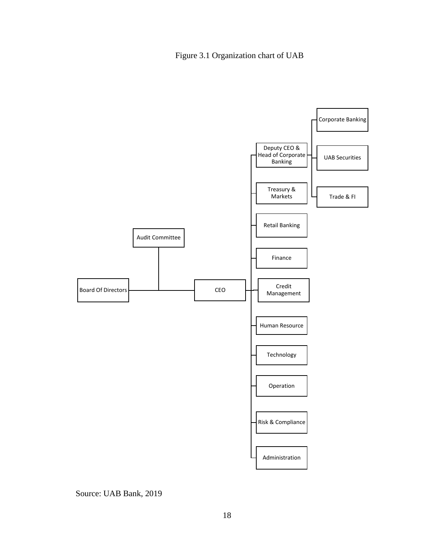

Source: UAB Bank, 2019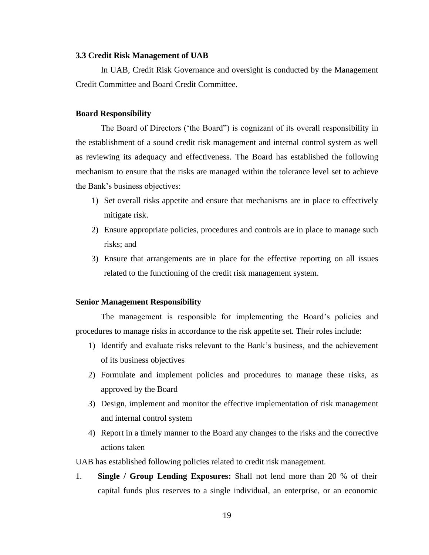#### **3.3 Credit Risk Management of UAB**

In UAB, Credit Risk Governance and oversight is conducted by the Management Credit Committee and Board Credit Committee.

#### **Board Responsibility**

The Board of Directors ('the Board") is cognizant of its overall responsibility in the establishment of a sound credit risk management and internal control system as well as reviewing its adequacy and effectiveness. The Board has established the following mechanism to ensure that the risks are managed within the tolerance level set to achieve the Bank's business objectives:

- 1) Set overall risks appetite and ensure that mechanisms are in place to effectively mitigate risk.
- 2) Ensure appropriate policies, procedures and controls are in place to manage such risks; and
- 3) Ensure that arrangements are in place for the effective reporting on all issues related to the functioning of the credit risk management system.

#### **Senior Management Responsibility**

The management is responsible for implementing the Board's policies and procedures to manage risks in accordance to the risk appetite set. Their roles include:

- 1) Identify and evaluate risks relevant to the Bank's business, and the achievement of its business objectives
- 2) Formulate and implement policies and procedures to manage these risks, as approved by the Board
- 3) Design, implement and monitor the effective implementation of risk management and internal control system
- 4) Report in a timely manner to the Board any changes to the risks and the corrective actions taken

UAB has established following policies related to credit risk management.

1. **Single / Group Lending Exposures:** Shall not lend more than 20 % of their capital funds plus reserves to a single individual, an enterprise, or an economic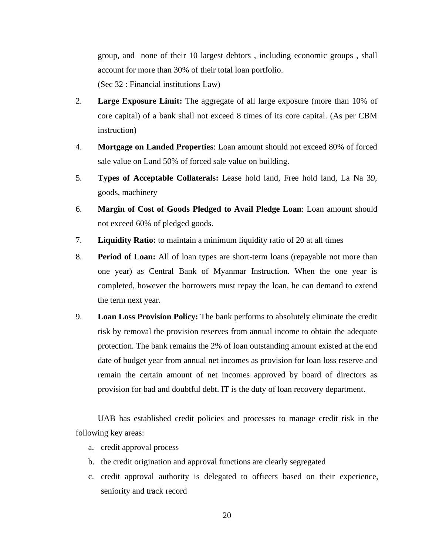group, and none of their 10 largest debtors , including economic groups , shall account for more than 30% of their total loan portfolio.

(Sec 32 : Financial institutions Law)

- 2. **Large Exposure Limit:** The aggregate of all large exposure (more than 10% of core capital) of a bank shall not exceed 8 times of its core capital. (As per CBM instruction)
- 4. **Mortgage on Landed Properties**: Loan amount should not exceed 80% of forced sale value on Land 50% of forced sale value on building.
- 5. **Types of Acceptable Collaterals:** Lease hold land, Free hold land, La Na 39, goods, machinery
- 6. **Margin of Cost of Goods Pledged to Avail Pledge Loan**: Loan amount should not exceed 60% of pledged goods.
- 7. **Liquidity Ratio:** to maintain a minimum liquidity ratio of 20 at all times
- 8. **Period of Loan:** All of loan types are short-term loans (repayable not more than one year) as Central Bank of Myanmar Instruction. When the one year is completed, however the borrowers must repay the loan, he can demand to extend the term next year.
- 9. **Loan Loss Provision Policy:** The bank performs to absolutely eliminate the credit risk by removal the provision reserves from annual income to obtain the adequate protection. The bank remains the 2% of loan outstanding amount existed at the end date of budget year from annual net incomes as provision for loan loss reserve and remain the certain amount of net incomes approved by board of directors as provision for bad and doubtful debt. IT is the duty of loan recovery department.

UAB has established credit policies and processes to manage credit risk in the following key areas:

- a. credit approval process
- b. the credit origination and approval functions are clearly segregated
- c. credit approval authority is delegated to officers based on their experience, seniority and track record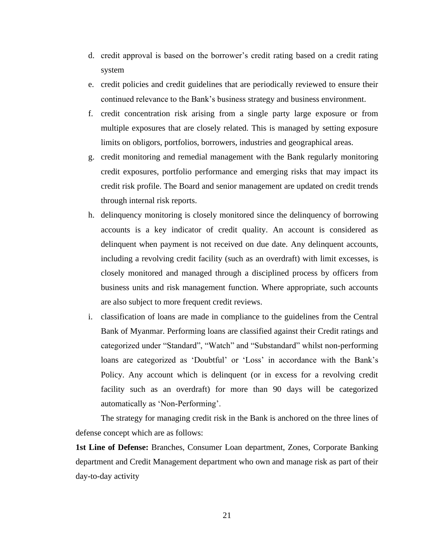- d. credit approval is based on the borrower's credit rating based on a credit rating system
- e. credit policies and credit guidelines that are periodically reviewed to ensure their continued relevance to the Bank's business strategy and business environment.
- f. credit concentration risk arising from a single party large exposure or from multiple exposures that are closely related. This is managed by setting exposure limits on obligors, portfolios, borrowers, industries and geographical areas.
- g. credit monitoring and remedial management with the Bank regularly monitoring credit exposures, portfolio performance and emerging risks that may impact its credit risk profile. The Board and senior management are updated on credit trends through internal risk reports.
- h. delinquency monitoring is closely monitored since the delinquency of borrowing accounts is a key indicator of credit quality. An account is considered as delinquent when payment is not received on due date. Any delinquent accounts, including a revolving credit facility (such as an overdraft) with limit excesses, is closely monitored and managed through a disciplined process by officers from business units and risk management function. Where appropriate, such accounts are also subject to more frequent credit reviews.
- i. classification of loans are made in compliance to the guidelines from the Central Bank of Myanmar. Performing loans are classified against their Credit ratings and categorized under "Standard", "Watch" and "Substandard" whilst non-performing loans are categorized as 'Doubtful' or 'Loss' in accordance with the Bank's Policy. Any account which is delinquent (or in excess for a revolving credit facility such as an overdraft) for more than 90 days will be categorized automatically as 'Non-Performing'.

The strategy for managing credit risk in the Bank is anchored on the three lines of defense concept which are as follows:

**1st Line of Defense:** Branches, Consumer Loan department, Zones, Corporate Banking department and Credit Management department who own and manage risk as part of their day-to-day activity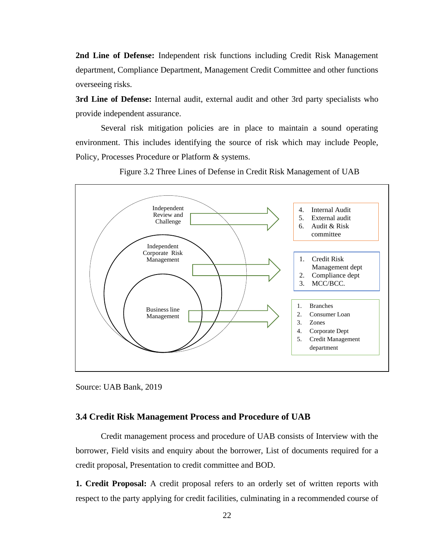**2nd Line of Defense:** Independent risk functions including Credit Risk Management department, Compliance Department, Management Credit Committee and other functions overseeing risks.

**3rd Line of Defense:** Internal audit, external audit and other 3rd party specialists who provide independent assurance.

Several risk mitigation policies are in place to maintain a sound operating environment. This includes identifying the source of risk which may include People, Policy, Processes Procedure or Platform & systems.



Figure 3.2 Three Lines of Defense in Credit Risk Management of UAB

#### **3.4 Credit Risk Management Process and Procedure of UAB**

Credit management process and procedure of UAB consists of Interview with the borrower, Field visits and enquiry about the borrower, List of documents required for a credit proposal, Presentation to credit committee and BOD.

**1. Credit Proposal:** A credit proposal refers to an orderly set of written reports with respect to the party applying for credit facilities, culminating in a recommended course of

Source: UAB Bank, 2019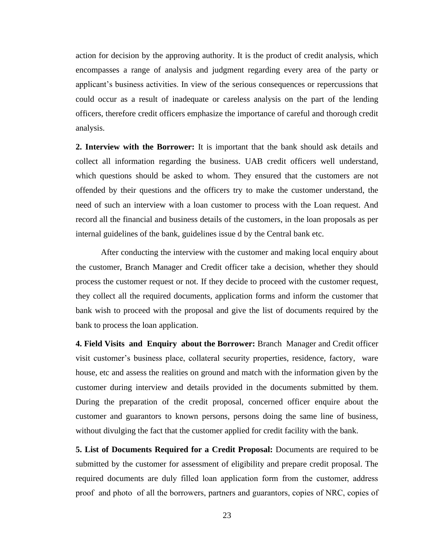action for decision by the approving authority. It is the product of credit analysis, which encompasses a range of analysis and judgment regarding every area of the party or applicant's business activities. In view of the serious consequences or repercussions that could occur as a result of inadequate or careless analysis on the part of the lending officers, therefore credit officers emphasize the importance of careful and thorough credit analysis.

**2. Interview with the Borrower:** It is important that the bank should ask details and collect all information regarding the business. UAB credit officers well understand, which questions should be asked to whom. They ensured that the customers are not offended by their questions and the officers try to make the customer understand, the need of such an interview with a loan customer to process with the Loan request. And record all the financial and business details of the customers, in the loan proposals as per internal guidelines of the bank, guidelines issue d by the Central bank etc.

After conducting the interview with the customer and making local enquiry about the customer, Branch Manager and Credit officer take a decision, whether they should process the customer request or not. If they decide to proceed with the customer request, they collect all the required documents, application forms and inform the customer that bank wish to proceed with the proposal and give the list of documents required by the bank to process the loan application.

**4. Field Visits and Enquiry about the Borrower:** Branch Manager and Credit officer visit customer's business place, collateral security properties, residence, factory, ware house, etc and assess the realities on ground and match with the information given by the customer during interview and details provided in the documents submitted by them. During the preparation of the credit proposal, concerned officer enquire about the customer and guarantors to known persons, persons doing the same line of business, without divulging the fact that the customer applied for credit facility with the bank.

**5. List of Documents Required for a Credit Proposal:** Documents are required to be submitted by the customer for assessment of eligibility and prepare credit proposal. The required documents are duly filled loan application form from the customer, address proof and photo of all the borrowers, partners and guarantors, copies of NRC, copies of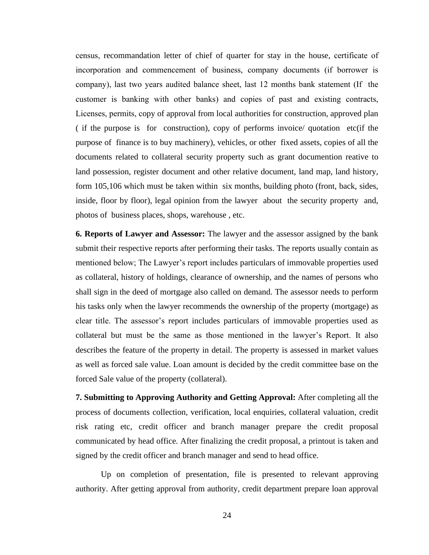census, recommandation letter of chief of quarter for stay in the house, certificate of incorporation and commencement of business, company documents (if borrower is company), last two years audited balance sheet, last 12 months bank statement (If the customer is banking with other banks) and copies of past and existing contracts, Licenses, permits, copy of approval from local authorities for construction, approved plan ( if the purpose is for construction), copy of performs invoice/ quotation etc(if the purpose of finance is to buy machinery), vehicles, or other fixed assets, copies of all the documents related to collateral security property such as grant documention reative to land possession, register document and other relative document, land map, land history, form 105,106 which must be taken within six months, building photo (front, back, sides, inside, floor by floor), legal opinion from the lawyer about the security property and, photos of business places, shops, warehouse , etc.

**6. Reports of Lawyer and Assessor:** The lawyer and the assessor assigned by the bank submit their respective reports after performing their tasks. The reports usually contain as mentioned below; The Lawyer's report includes particulars of immovable properties used as collateral, history of holdings, clearance of ownership, and the names of persons who shall sign in the deed of mortgage also called on demand. The assessor needs to perform his tasks only when the lawyer recommends the ownership of the property (mortgage) as clear title. The assessor's report includes particulars of immovable properties used as collateral but must be the same as those mentioned in the lawyer's Report. It also describes the feature of the property in detail. The property is assessed in market values as well as forced sale value. Loan amount is decided by the credit committee base on the forced Sale value of the property (collateral).

**7. Submitting to Approving Authority and Getting Approval:** After completing all the process of documents collection, verification, local enquiries, collateral valuation, credit risk rating etc, credit officer and branch manager prepare the credit proposal communicated by head office. After finalizing the credit proposal, a printout is taken and signed by the credit officer and branch manager and send to head office.

Up on completion of presentation, file is presented to relevant approving authority. After getting approval from authority, credit department prepare loan approval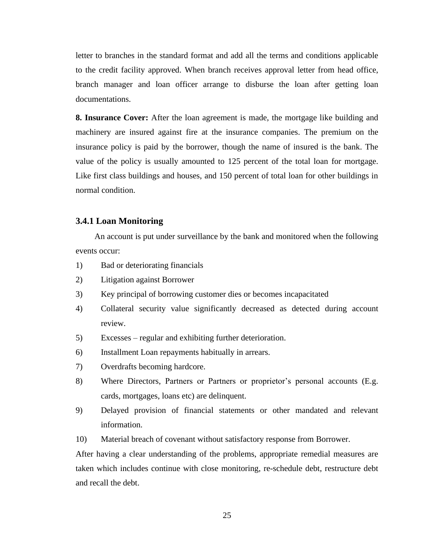letter to branches in the standard format and add all the terms and conditions applicable to the credit facility approved. When branch receives approval letter from head office, branch manager and loan officer arrange to disburse the loan after getting loan documentations.

**8. Insurance Cover:** After the loan agreement is made, the mortgage like building and machinery are insured against fire at the insurance companies. The premium on the insurance policy is paid by the borrower, though the name of insured is the bank. The value of the policy is usually amounted to 125 percent of the total loan for mortgage. Like first class buildings and houses, and 150 percent of total loan for other buildings in normal condition.

#### **3.4.1 Loan Monitoring**

 An account is put under surveillance by the bank and monitored when the following events occur:

- 1) Bad or deteriorating financials
- 2) Litigation against Borrower
- 3) Key principal of borrowing customer dies or becomes incapacitated
- 4) Collateral security value significantly decreased as detected during account review.
- 5) Excesses regular and exhibiting further deterioration.
- 6) Installment Loan repayments habitually in arrears.
- 7) Overdrafts becoming hardcore.
- 8) Where Directors, Partners or Partners or proprietor's personal accounts (E.g. cards, mortgages, loans etc) are delinquent.
- 9) Delayed provision of financial statements or other mandated and relevant information.
- 10) Material breach of covenant without satisfactory response from Borrower.

After having a clear understanding of the problems, appropriate remedial measures are taken which includes continue with close monitoring, re-schedule debt, restructure debt and recall the debt.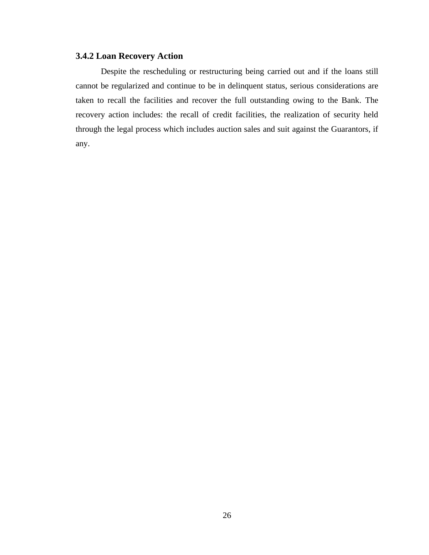#### **3.4.2 Loan Recovery Action**

Despite the rescheduling or restructuring being carried out and if the loans still cannot be regularized and continue to be in delinquent status, serious considerations are taken to recall the facilities and recover the full outstanding owing to the Bank. The recovery action includes: the recall of credit facilities, the realization of security held through the legal process which includes auction sales and suit against the Guarantors, if any.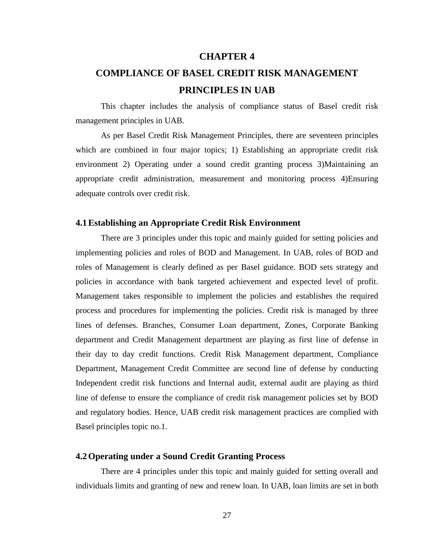#### **CHAPTER 4**

# **COMPLIANCE OF BASEL CREDIT RISK MANAGEMENT PRINCIPLES IN UAB**

This chapter includes the analysis of compliance status of Basel credit risk management principles in UAB.

As per Basel Credit Risk Management Principles, there are seventeen principles which are combined in four major topics; 1) Establishing an appropriate credit risk environment 2) Operating under a sound credit granting process 3)Maintaining an appropriate credit administration, measurement and monitoring process 4)Ensuring adequate controls over credit risk.

#### **4.1Establishing an Appropriate Credit Risk Environment**

There are 3 principles under this topic and mainly guided for setting policies and implementing policies and roles of BOD and Management. In UAB, roles of BOD and roles of Management is clearly defined as per Basel guidance. BOD sets strategy and policies in accordance with bank targeted achievement and expected level of profit. Management takes responsible to implement the policies and establishes the required process and procedures for implementing the policies. Credit risk is managed by three lines of defenses. Branches, Consumer Loan department, Zones, Corporate Banking department and Credit Management department are playing as first line of defense in their day to day credit functions. Credit Risk Management department, Compliance Department, Management Credit Committee are second line of defense by conducting Independent credit risk functions and Internal audit, external audit are playing as third line of defense to ensure the compliance of credit risk management policies set by BOD and regulatory bodies. Hence, UAB credit risk management practices are complied with Basel principles topic no.1.

#### **4.2Operating under a Sound Credit Granting Process**

There are 4 principles under this topic and mainly guided for setting overall and individuals limits and granting of new and renew loan. In UAB, loan limits are set in both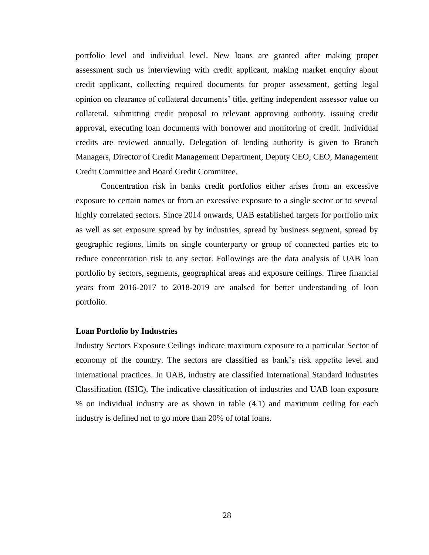portfolio level and individual level. New loans are granted after making proper assessment such us interviewing with credit applicant, making market enquiry about credit applicant, collecting required documents for proper assessment, getting legal opinion on clearance of collateral documents' title, getting independent assessor value on collateral, submitting credit proposal to relevant approving authority, issuing credit approval, executing loan documents with borrower and monitoring of credit. Individual credits are reviewed annually. Delegation of lending authority is given to Branch Managers, Director of Credit Management Department, Deputy CEO, CEO, Management Credit Committee and Board Credit Committee.

Concentration risk in banks credit portfolios either arises from an excessive exposure to certain names or from an excessive exposure to a single sector or to several highly correlated sectors. Since 2014 onwards, UAB established targets for portfolio mix as well as set exposure spread by by industries, spread by business segment, spread by geographic regions, limits on single counterparty or group of connected parties etc to reduce concentration risk to any sector. Followings are the data analysis of UAB loan portfolio by sectors, segments, geographical areas and exposure ceilings. Three financial years from 2016-2017 to 2018-2019 are analsed for better understanding of loan portfolio.

#### **Loan Portfolio by Industries**

Industry Sectors Exposure Ceilings indicate maximum exposure to a particular Sector of economy of the country. The sectors are classified as bank's risk appetite level and international practices. In UAB, industry are classified International Standard Industries Classification (ISIC). The indicative classification of industries and UAB loan exposure % on individual industry are as shown in table (4.1) and maximum ceiling for each industry is defined not to go more than 20% of total loans.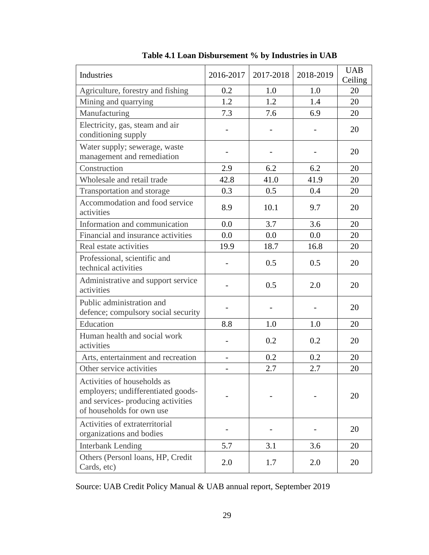| Industries                                                                                                                           | 2016-2017                | 2017-2018 | 2018-2019 | <b>UAB</b><br>Ceiling |
|--------------------------------------------------------------------------------------------------------------------------------------|--------------------------|-----------|-----------|-----------------------|
| Agriculture, forestry and fishing                                                                                                    | 0.2                      | 1.0       | 1.0       | 20                    |
| Mining and quarrying                                                                                                                 | 1.2                      | 1.2       | 1.4       | 20                    |
| Manufacturing                                                                                                                        | 7.3                      | 7.6       | 6.9       | 20                    |
| Electricity, gas, steam and air<br>conditioning supply                                                                               |                          |           |           | 20                    |
| Water supply; sewerage, waste<br>management and remediation                                                                          |                          |           |           | 20                    |
| Construction                                                                                                                         | 2.9                      | 6.2       | 6.2       | 20                    |
| Wholesale and retail trade                                                                                                           | 42.8                     | 41.0      | 41.9      | 20                    |
| Transportation and storage                                                                                                           | 0.3                      | 0.5       | 0.4       | 20                    |
| Accommodation and food service<br>activities                                                                                         | 8.9                      | 10.1      | 9.7       | 20                    |
| Information and communication                                                                                                        | 0.0                      | 3.7       | 3.6       | 20                    |
| Financial and insurance activities                                                                                                   | 0.0                      | 0.0       | 0.0       | 20                    |
| Real estate activities                                                                                                               | 19.9                     | 18.7      | 16.8      | 20                    |
| Professional, scientific and<br>technical activities                                                                                 |                          | 0.5       | 0.5       | 20                    |
| Administrative and support service<br>activities                                                                                     |                          | 0.5       | 2.0       | 20                    |
| Public administration and<br>defence; compulsory social security                                                                     |                          |           |           | 20                    |
| Education                                                                                                                            | 8.8                      | 1.0       | 1.0       | 20                    |
| Human health and social work<br>activities                                                                                           |                          | 0.2       | 0.2       | 20                    |
| Arts, entertainment and recreation                                                                                                   | $\overline{\phantom{0}}$ | 0.2       | 0.2       | 20                    |
| Other service activities                                                                                                             |                          | 2.7       | 2.7       | 20                    |
| Activities of households as<br>employers; undifferentiated goods-<br>and services- producing activities<br>of households for own use |                          |           |           | 20                    |
| Activities of extraterritorial<br>organizations and bodies                                                                           |                          |           |           | 20                    |
| <b>Interbank Lending</b>                                                                                                             | 5.7                      | 3.1       | 3.6       | 20                    |
| Others (Personl loans, HP, Credit<br>Cards, etc)                                                                                     | 2.0                      | 1.7       | 2.0       | 20                    |

Source: UAB Credit Policy Manual & UAB annual report, September 2019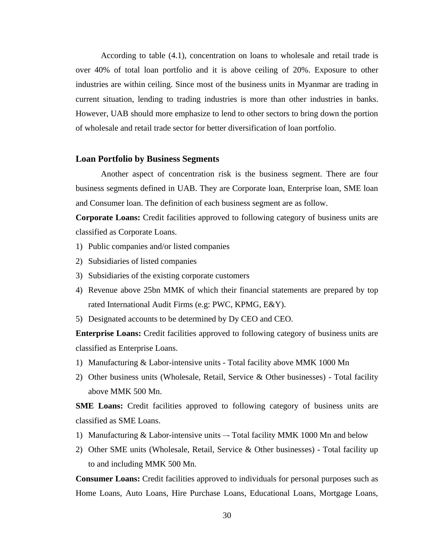According to table (4.1), concentration on loans to wholesale and retail trade is over 40% of total loan portfolio and it is above ceiling of 20%. Exposure to other industries are within ceiling. Since most of the business units in Myanmar are trading in current situation, lending to trading industries is more than other industries in banks. However, UAB should more emphasize to lend to other sectors to bring down the portion of wholesale and retail trade sector for better diversification of loan portfolio.

#### **Loan Portfolio by Business Segments**

Another aspect of concentration risk is the business segment. There are four business segments defined in UAB. They are Corporate loan, Enterprise loan, SME loan and Consumer loan. The definition of each business segment are as follow.

**Corporate Loans:** Credit facilities approved to following category of business units are classified as Corporate Loans.

- 1) Public companies and/or listed companies
- 2) Subsidiaries of listed companies
- 3) Subsidiaries of the existing corporate customers
- 4) Revenue above 25bn MMK of which their financial statements are prepared by top rated International Audit Firms (e.g: PWC, KPMG, E&Y).
- 5) Designated accounts to be determined by Dy CEO and CEO.

**Enterprise Loans:** Credit facilities approved to following category of business units are classified as Enterprise Loans.

- 1) Manufacturing & Labor-intensive units Total facility above MMK 1000 Mn
- 2) Other business units (Wholesale, Retail, Service & Other businesses) Total facility above MMK 500 Mn.

**SME Loans:** Credit facilities approved to following category of business units are classified as SME Loans.

- 1) Manufacturing & Labor-intensive units –- Total facility MMK 1000 Mn and below
- 2) Other SME units (Wholesale, Retail, Service & Other businesses) Total facility up to and including MMK 500 Mn.

**Consumer Loans:** Credit facilities approved to individuals for personal purposes such as Home Loans, Auto Loans, Hire Purchase Loans, Educational Loans, Mortgage Loans,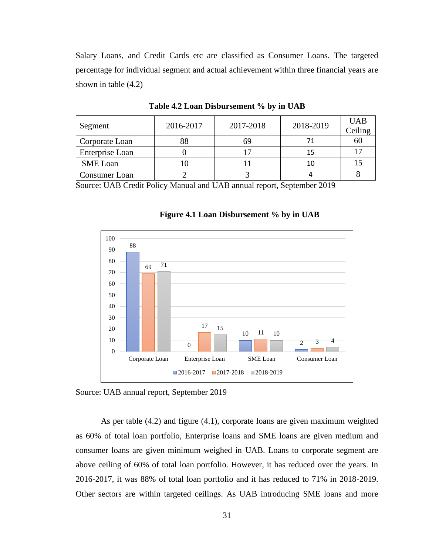Salary Loans, and Credit Cards etc are classified as Consumer Loans. The targeted percentage for individual segment and actual achievement within three financial years are shown in table (4.2)

| Segment         | 2016-2017 | 2017-2018 | 2018-2019 | <b>UAB</b><br>Ceiling |
|-----------------|-----------|-----------|-----------|-----------------------|
| Corporate Loan  |           |           |           | 60                    |
| Enterprise Loan |           |           | 15        |                       |
| <b>SME</b> Loan |           |           | 10        |                       |
| Consumer Loan   |           |           |           |                       |

**Table 4.2 Loan Disbursement % by in UAB**

Source: UAB Credit Policy Manual and UAB annual report, September 2019



**Figure 4.1 Loan Disbursement % by in UAB**

Source: UAB annual report, September 2019

As per table (4.2) and figure (4.1), corporate loans are given maximum weighted as 60% of total loan portfolio, Enterprise loans and SME loans are given medium and consumer loans are given minimum weighed in UAB. Loans to corporate segment are above ceiling of 60% of total loan portfolio. However, it has reduced over the years. In 2016-2017, it was 88% of total loan portfolio and it has reduced to 71% in 2018-2019. Other sectors are within targeted ceilings. As UAB introducing SME loans and more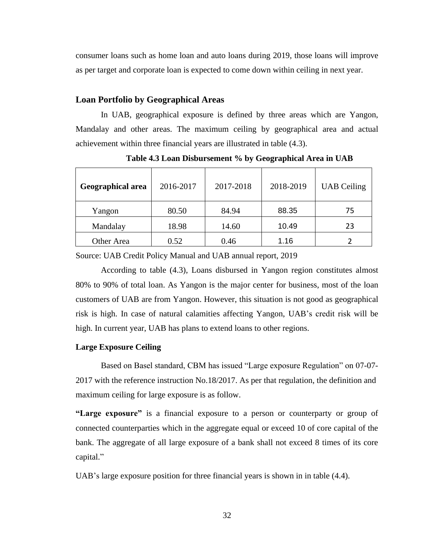consumer loans such as home loan and auto loans during 2019, those loans will improve as per target and corporate loan is expected to come down within ceiling in next year.

#### **Loan Portfolio by Geographical Areas**

In UAB, geographical exposure is defined by three areas which are Yangon, Mandalay and other areas. The maximum ceiling by geographical area and actual achievement within three financial years are illustrated in table (4.3).

| <b>Geographical area</b> | 2016-2017 | 2017-2018 | 2018-2019 | <b>UAB</b> Ceiling |
|--------------------------|-----------|-----------|-----------|--------------------|
| Yangon                   | 80.50     | 84.94     | 88.35     | 75                 |
| Mandalay                 | 18.98     | 14.60     | 10.49     | 23                 |
| Other Area               | 0.52      | 0.46      | 1.16      |                    |

**Table 4.3 Loan Disbursement % by Geographical Area in UAB**

Source: UAB Credit Policy Manual and UAB annual report, 2019

According to table (4.3), Loans disbursed in Yangon region constitutes almost 80% to 90% of total loan. As Yangon is the major center for business, most of the loan customers of UAB are from Yangon. However, this situation is not good as geographical risk is high. In case of natural calamities affecting Yangon, UAB's credit risk will be high. In current year, UAB has plans to extend loans to other regions.

#### **Large Exposure Ceiling**

Based on Basel standard, CBM has issued "Large exposure Regulation" on 07-07- 2017 with the reference instruction No.18/2017. As per that regulation, the definition and maximum ceiling for large exposure is as follow.

**"Large exposure"** is a financial exposure to a person or counterparty or group of connected counterparties which in the aggregate equal or exceed 10 of core capital of the bank. The aggregate of all large exposure of a bank shall not exceed 8 times of its core capital."

UAB's large exposure position for three financial years is shown in in table (4.4).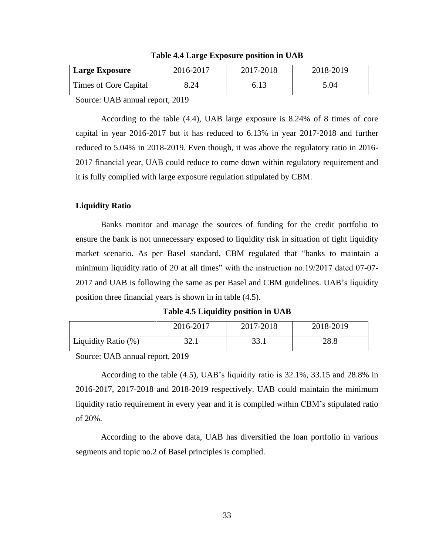| <b>Large Exposure</b> | 2016-2017 | 2017-2018 | 2018-2019 |
|-----------------------|-----------|-----------|-----------|
| Times of Core Capital | 8.24      | 6.13      | 5.04      |

**Table 4.4 Large Exposure position in UAB**

Source: UAB annual report, 2019

According to the table (4.4), UAB large exposure is 8.24% of 8 times of core capital in year 2016-2017 but it has reduced to 6.13% in year 2017-2018 and further reduced to 5.04% in 2018-2019. Even though, it was above the regulatory ratio in 2016- 2017 financial year, UAB could reduce to come down within regulatory requirement and it is fully complied with large exposure regulation stipulated by CBM.

#### **Liquidity Ratio**

Banks monitor and manage the sources of funding for the credit portfolio to ensure the bank is not unnecessary exposed to liquidity risk in situation of tight liquidity market scenario. As per Basel standard, CBM regulated that "banks to maintain a minimum liquidity ratio of 20 at all times" with the instruction no.19/2017 dated 07-07- 2017 and UAB is following the same as per Basel and CBM guidelines. UAB's liquidity position three financial years is shown in in table (4.5).

**Table 4.5 Liquidity position in UAB**

|                     | 2016-2017    | 2017-2018 | 2018-2019 |
|---------------------|--------------|-----------|-----------|
| Liquidity Ratio (%) | 27 1<br>ہ کر |           | 28.8      |

Source: UAB annual report, 2019

According to the table (4.5), UAB's liquidity ratio is 32.1%, 33.15 and 28.8% in 2016-2017, 2017-2018 and 2018-2019 respectively. UAB could maintain the minimum liquidity ratio requirement in every year and it is compiled within CBM's stipulated ratio of 20%.

According to the above data, UAB has diversified the loan portfolio in various segments and topic no.2 of Basel principles is complied.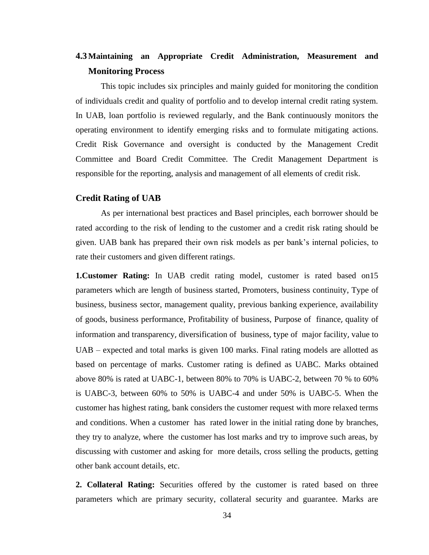## **4.3Maintaining an Appropriate Credit Administration, Measurement and Monitoring Process**

This topic includes six principles and mainly guided for monitoring the condition of individuals credit and quality of portfolio and to develop internal credit rating system. In UAB, loan portfolio is reviewed regularly, and the Bank continuously monitors the operating environment to identify emerging risks and to formulate mitigating actions. Credit Risk Governance and oversight is conducted by the Management Credit Committee and Board Credit Committee. The Credit Management Department is responsible for the reporting, analysis and management of all elements of credit risk.

#### **Credit Rating of UAB**

As per international best practices and Basel principles, each borrower should be rated according to the risk of lending to the customer and a credit risk rating should be given. UAB bank has prepared their own risk models as per bank's internal policies, to rate their customers and given different ratings.

**1.Customer Rating:** In UAB credit rating model, customer is rated based on15 parameters which are length of business started, Promoters, business continuity, Type of business, business sector, management quality, previous banking experience, availability of goods, business performance, Profitability of business, Purpose of finance, quality of information and transparency, diversification of business, type of major facility, value to UAB – expected and total marks is given 100 marks. Final rating models are allotted as based on percentage of marks. Customer rating is defined as UABC. Marks obtained above 80% is rated at UABC-1, between 80% to 70% is UABC-2, between 70 % to 60% is UABC-3, between 60% to 50% is UABC-4 and under 50% is UABC-5. When the customer has highest rating, bank considers the customer request with more relaxed terms and conditions. When a customer has rated lower in the initial rating done by branches, they try to analyze, where the customer has lost marks and try to improve such areas, by discussing with customer and asking for more details, cross selling the products, getting other bank account details, etc.

**2. Collateral Rating:** Securities offered by the customer is rated based on three parameters which are primary security, collateral security and guarantee. Marks are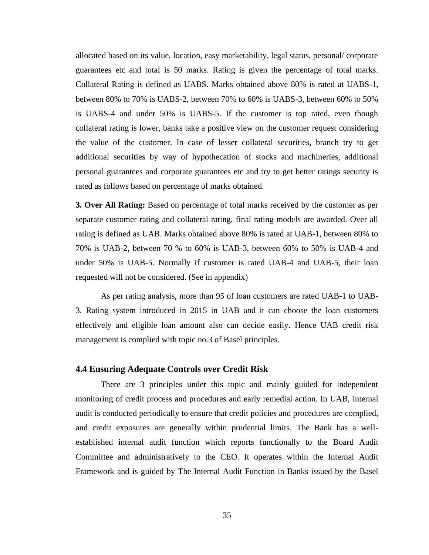allocated based on its value, location, easy marketability, legal status, personal/ corporate guarantees etc and total is 50 marks. Rating is given the percentage of total marks. Collateral Rating is defined as UABS. Marks obtained above 80% is rated at UABS-1, between 80% to 70% is UABS-2, between 70% to 60% is UABS-3, between 60% to 50% is UABS-4 and under 50% is UABS-5. If the customer is top rated, even though collateral rating is lower, banks take a positive view on the customer request considering the value of the customer. In case of lesser collateral securities, branch try to get additional securities by way of hypothecation of stocks and machineries, additional personal guarantees and corporate guarantees etc and try to get better ratings security is rated as follows based on percentage of marks obtained.

**3. Over All Rating:** Based on percentage of total marks received by the customer as per separate customer rating and collateral rating, final rating models are awarded. Over all rating is defined as UAB. Marks obtained above 80% is rated at UAB-1, between 80% to 70% is UAB-2, between 70 % to 60% is UAB-3, between 60% to 50% is UAB-4 and under 50% is UAB-5. Normally if customer is rated UAB-4 and UAB-5, their loan requested will not be considered. (See in appendix)

As per rating analysis, more than 95 of loan customers are rated UAB-1 to UAB-3. Rating system introduced in 2015 in UAB and it can choose the loan customers effectively and eligible loan amount also can decide easily. Hence UAB credit risk management is complied with topic no.3 of Basel principles.

#### **4.4 Ensuring Adequate Controls over Credit Risk**

There are 3 principles under this topic and mainly guided for independent monitoring of credit process and procedures and early remedial action. In UAB, internal audit is conducted periodically to ensure that credit policies and procedures are complied, and credit exposures are generally within prudential limits. The Bank has a wellestablished internal audit function which reports functionally to the Board Audit Committee and administratively to the CEO. It operates within the Internal Audit Framework and is guided by The Internal Audit Function in Banks issued by the Basel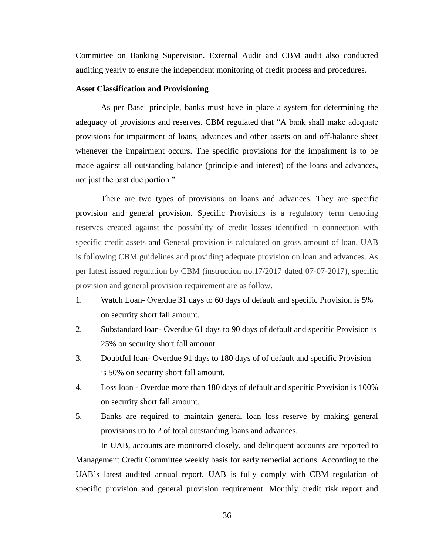Committee on Banking Supervision. External Audit and CBM audit also conducted auditing yearly to ensure the independent monitoring of credit process and procedures.

#### **Asset Classification and Provisioning**

As per Basel principle, banks must have in place a system for determining the adequacy of provisions and reserves. CBM regulated that "A bank shall make adequate provisions for impairment of loans, advances and other assets on and off-balance sheet whenever the impairment occurs. The specific provisions for the impairment is to be made against all outstanding balance (principle and interest) of the loans and advances, not just the past due portion."

There are two types of provisions on loans and advances. They are specific provision and general provision. Specific Provisions is a regulatory term denoting reserves created against the possibility of credit losses identified in connection with specific credit assets and General provision is calculated on gross amount of loan. UAB is following CBM guidelines and providing adequate provision on loan and advances. As per latest issued regulation by CBM (instruction no.17/2017 dated 07-07-2017), specific provision and general provision requirement are as follow.

- 1. Watch Loan- Overdue 31 days to 60 days of default and specific Provision is 5% on security short fall amount.
- 2. Substandard loan- Overdue 61 days to 90 days of default and specific Provision is 25% on security short fall amount.
- 3. Doubtful loan- Overdue 91 days to 180 days of of default and specific Provision is 50% on security short fall amount.
- 4. Loss loan Overdue more than 180 days of default and specific Provision is 100% on security short fall amount.
- 5. Banks are required to maintain general loan loss reserve by making general provisions up to 2 of total outstanding loans and advances.

In UAB, accounts are monitored closely, and delinquent accounts are reported to Management Credit Committee weekly basis for early remedial actions. According to the UAB's latest audited annual report, UAB is fully comply with CBM regulation of specific provision and general provision requirement. Monthly credit risk report and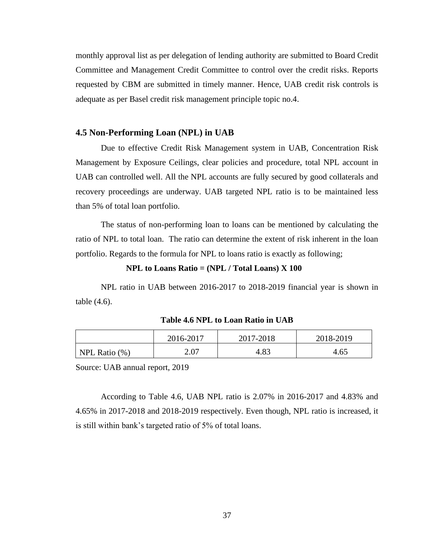monthly approval list as per delegation of lending authority are submitted to Board Credit Committee and Management Credit Committee to control over the credit risks. Reports requested by CBM are submitted in timely manner. Hence, UAB credit risk controls is adequate as per Basel credit risk management principle topic no.4.

#### **4.5 Non-Performing Loan (NPL) in UAB**

Due to effective Credit Risk Management system in UAB, Concentration Risk Management by Exposure Ceilings, clear policies and procedure, total NPL account in UAB can controlled well. All the NPL accounts are fully secured by good collaterals and recovery proceedings are underway. UAB targeted NPL ratio is to be maintained less than 5% of total loan portfolio.

The status of non-performing loan to loans can be mentioned by calculating the ratio of NPL to total loan. The ratio can determine the extent of risk inherent in the loan portfolio. Regards to the formula for NPL to loans ratio is exactly as following;

#### **NPL to Loans Ratio = (NPL / Total Loans) X 100**

NPL ratio in UAB between 2016-2017 to 2018-2019 financial year is shown in table (4.6).

|  | Table 4.6 NPL to Loan Ratio in UAB |  |
|--|------------------------------------|--|
|  |                                    |  |

|                  | 2016-2017 | 2017-2018 | 2018-2019 |
|------------------|-----------|-----------|-----------|
| NPL Ratio $(\%)$ | 2.07      | 4.83      | 4.65      |

Source: UAB annual report, 2019

According to Table 4.6, UAB NPL ratio is 2.07% in 2016-2017 and 4.83% and 4.65% in 2017-2018 and 2018-2019 respectively. Even though, NPL ratio is increased, it is still within bank's targeted ratio of 5% of total loans.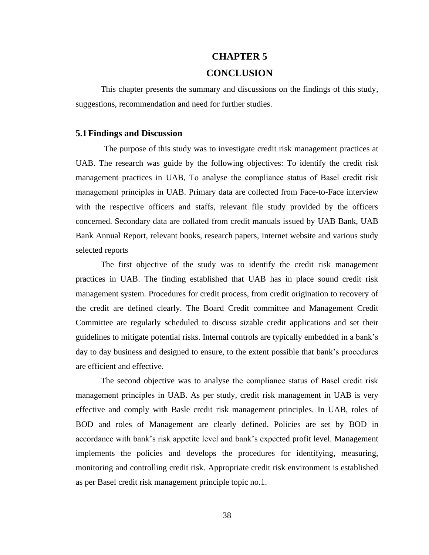#### **CHAPTER 5**

#### **CONCLUSION**

This chapter presents the summary and discussions on the findings of this study, suggestions, recommendation and need for further studies.

#### **5.1Findings and Discussion**

The purpose of this study was to investigate credit risk management practices at UAB. The research was guide by the following objectives: To identify the credit risk management practices in UAB, To analyse the compliance status of Basel credit risk management principles in UAB. Primary data are collected from Face-to-Face interview with the respective officers and staffs, relevant file study provided by the officers concerned. Secondary data are collated from credit manuals issued by UAB Bank, UAB Bank Annual Report, relevant books, research papers, Internet website and various study selected reports

The first objective of the study was to identify the credit risk management practices in UAB. The finding established that UAB has in place sound credit risk management system. Procedures for credit process, from credit origination to recovery of the credit are defined clearly. The Board Credit committee and Management Credit Committee are regularly scheduled to discuss sizable credit applications and set their guidelines to mitigate potential risks. Internal controls are typically embedded in a bank's day to day business and designed to ensure, to the extent possible that bank's procedures are efficient and effective.

The second objective was to analyse the compliance status of Basel credit risk management principles in UAB. As per study, credit risk management in UAB is very effective and comply with Basle credit risk management principles. In UAB, roles of BOD and roles of Management are clearly defined. Policies are set by BOD in accordance with bank's risk appetite level and bank's expected profit level. Management implements the policies and develops the procedures for identifying, measuring, monitoring and controlling credit risk. Appropriate credit risk environment is established as per Basel credit risk management principle topic no.1.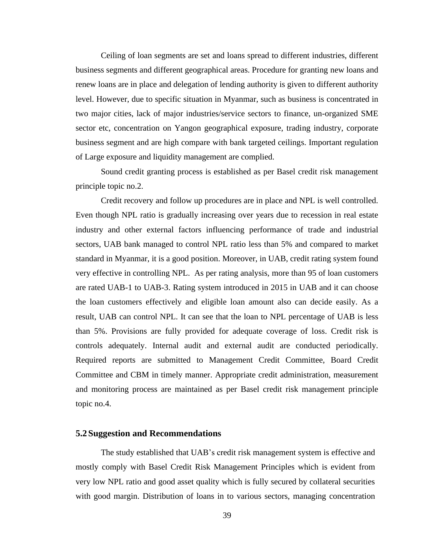Ceiling of loan segments are set and loans spread to different industries, different business segments and different geographical areas. Procedure for granting new loans and renew loans are in place and delegation of lending authority is given to different authority level. However, due to specific situation in Myanmar, such as business is concentrated in two major cities, lack of major industries/service sectors to finance, un-organized SME sector etc, concentration on Yangon geographical exposure, trading industry, corporate business segment and are high compare with bank targeted ceilings. Important regulation of Large exposure and liquidity management are complied.

Sound credit granting process is established as per Basel credit risk management principle topic no.2.

Credit recovery and follow up procedures are in place and NPL is well controlled. Even though NPL ratio is gradually increasing over years due to recession in real estate industry and other external factors influencing performance of trade and industrial sectors, UAB bank managed to control NPL ratio less than 5% and compared to market standard in Myanmar, it is a good position. Moreover, in UAB, credit rating system found very effective in controlling NPL. As per rating analysis, more than 95 of loan customers are rated UAB-1 to UAB-3. Rating system introduced in 2015 in UAB and it can choose the loan customers effectively and eligible loan amount also can decide easily. As a result, UAB can control NPL. It can see that the loan to NPL percentage of UAB is less than 5%. Provisions are fully provided for adequate coverage of loss. Credit risk is controls adequately. Internal audit and external audit are conducted periodically. Required reports are submitted to Management Credit Committee, Board Credit Committee and CBM in timely manner. Appropriate credit administration, measurement and monitoring process are maintained as per Basel credit risk management principle topic no.4.

#### **5.2Suggestion and Recommendations**

The study established that UAB's credit risk management system is effective and mostly comply with Basel Credit Risk Management Principles which is evident from very low NPL ratio and good asset quality which is fully secured by collateral securities with good margin. Distribution of loans in to various sectors, managing concentration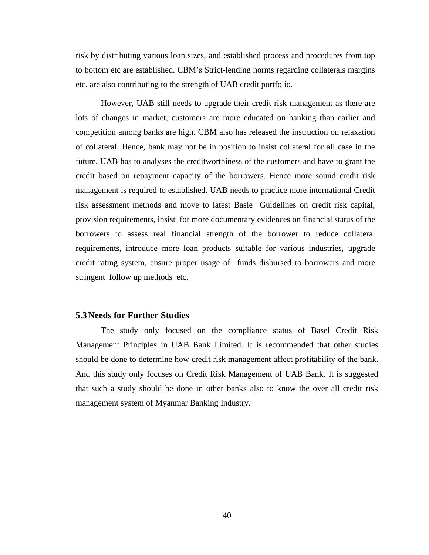risk by distributing various loan sizes, and established process and procedures from top to bottom etc are established. CBM's Strict-lending norms regarding collaterals margins etc. are also contributing to the strength of UAB credit portfolio.

However, UAB still needs to upgrade their credit risk management as there are lots of changes in market, customers are more educated on banking than earlier and competition among banks are high. CBM also has released the instruction on relaxation of collateral. Hence, bank may not be in position to insist collateral for all case in the future. UAB has to analyses the creditworthiness of the customers and have to grant the credit based on repayment capacity of the borrowers. Hence more sound credit risk management is required to established. UAB needs to practice more international Credit risk assessment methods and move to latest Basle Guidelines on credit risk capital, provision requirements, insist for more documentary evidences on financial status of the borrowers to assess real financial strength of the borrower to reduce collateral requirements, introduce more loan products suitable for various industries, upgrade credit rating system, ensure proper usage of funds disbursed to borrowers and more stringent follow up methods etc.

#### **5.3Needs for Further Studies**

The study only focused on the compliance status of Basel Credit Risk Management Principles in UAB Bank Limited. It is recommended that other studies should be done to determine how credit risk management affect profitability of the bank. And this study only focuses on Credit Risk Management of UAB Bank. It is suggested that such a study should be done in other banks also to know the over all credit risk management system of Myanmar Banking Industry.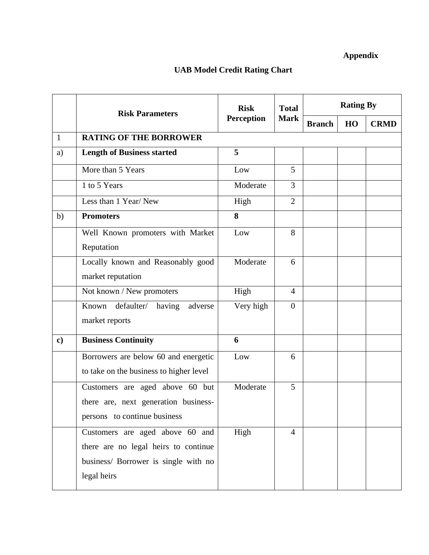### **Appendix**

### **UAB Model Credit Rating Chart**

|              | <b>Risk Parameters</b>                                                                                                         | <b>Risk</b> | <b>Total</b>   | <b>Rating By</b> |    |             |
|--------------|--------------------------------------------------------------------------------------------------------------------------------|-------------|----------------|------------------|----|-------------|
|              |                                                                                                                                | Perception  | <b>Mark</b>    | <b>Branch</b>    | HO | <b>CRMD</b> |
| $\mathbf{1}$ | <b>RATING OF THE BORROWER</b>                                                                                                  |             |                |                  |    |             |
| a)           | <b>Length of Business started</b>                                                                                              | 5           |                |                  |    |             |
|              | More than 5 Years                                                                                                              | Low         | 5              |                  |    |             |
|              | 1 to 5 Years                                                                                                                   | Moderate    | 3              |                  |    |             |
|              | Less than 1 Year/New                                                                                                           | High        | $\overline{2}$ |                  |    |             |
| b)           | <b>Promoters</b>                                                                                                               | 8           |                |                  |    |             |
|              | Well Known promoters with Market<br>Reputation                                                                                 | Low         | 8              |                  |    |             |
|              | Locally known and Reasonably good<br>market reputation                                                                         | Moderate    | 6              |                  |    |             |
|              | Not known / New promoters                                                                                                      | High        | $\overline{4}$ |                  |    |             |
|              | Known defaulter/ having<br>adverse<br>market reports                                                                           | Very high   | $\overline{0}$ |                  |    |             |
| $\mathbf{c}$ | <b>Business Continuity</b>                                                                                                     | 6           |                |                  |    |             |
|              | Borrowers are below 60 and energetic<br>to take on the business to higher level                                                | Low         | 6              |                  |    |             |
|              | Customers are aged above 60 but<br>there are, next generation business-<br>persons to continue business                        | Moderate    | 5              |                  |    |             |
|              | Customers are aged above 60 and<br>there are no legal heirs to continue<br>business/ Borrower is single with no<br>legal heirs | High        | $\overline{4}$ |                  |    |             |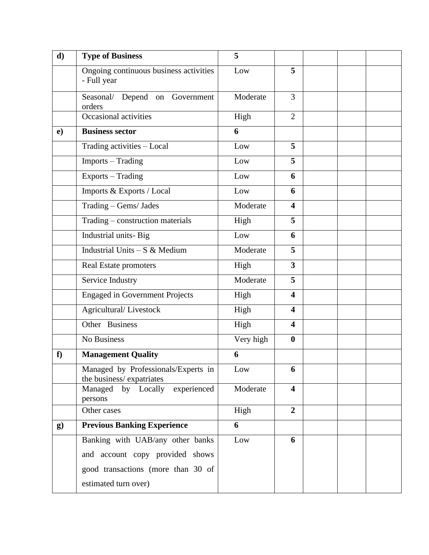| d)            | <b>Type of Business</b>                                         | 5         |                         |  |  |
|---------------|-----------------------------------------------------------------|-----------|-------------------------|--|--|
|               | Ongoing continuous business activities<br>- Full year           | Low       | 5                       |  |  |
|               | Seasonal/ Depend on Government<br>orders                        | Moderate  | $\overline{3}$          |  |  |
|               | Occasional activities                                           | High      | $\overline{2}$          |  |  |
| $\mathbf{e})$ | <b>Business sector</b>                                          | 6         |                         |  |  |
|               | Trading activities - Local                                      | Low       | 5                       |  |  |
|               | Imports - Trading                                               | Low       | 5                       |  |  |
|               | Exports - Trading                                               | Low       | 6                       |  |  |
|               | Imports & Exports / Local                                       | Low       | 6                       |  |  |
|               | Trading - Gems/ Jades                                           | Moderate  | $\overline{\mathbf{4}}$ |  |  |
|               | Trading - construction materials                                | High      | 5                       |  |  |
|               | Industrial units-Big                                            | Low       | 6                       |  |  |
|               | Industrial Units $- S \& M$ edium                               | Moderate  | 5                       |  |  |
|               | Real Estate promoters                                           | High      | $\overline{3}$          |  |  |
|               | Service Industry                                                | Moderate  | 5                       |  |  |
|               | <b>Engaged in Government Projects</b>                           | High      | $\overline{\mathbf{4}}$ |  |  |
|               | Agricultural/Livestock                                          | High      | $\overline{\mathbf{4}}$ |  |  |
|               | Other Business                                                  | High      | $\overline{\mathbf{4}}$ |  |  |
|               | <b>No Business</b>                                              | Very high | $\bf{0}$                |  |  |
| f             | <b>Management Quality</b>                                       | 6         |                         |  |  |
|               | Managed by Professionals/Experts in<br>the business/expatriates | Low       | 6                       |  |  |
|               | Managed by Locally experienced<br>persons                       | Moderate  | $\overline{\mathbf{4}}$ |  |  |
|               | Other cases                                                     | High      | $\overline{2}$          |  |  |
| $\bf{g}$      | <b>Previous Banking Experience</b>                              | 6         |                         |  |  |
|               | Banking with UAB/any other banks                                | Low       | 6                       |  |  |
|               | and account copy provided shows                                 |           |                         |  |  |
|               | good transactions (more than 30 of                              |           |                         |  |  |
|               | estimated turn over)                                            |           |                         |  |  |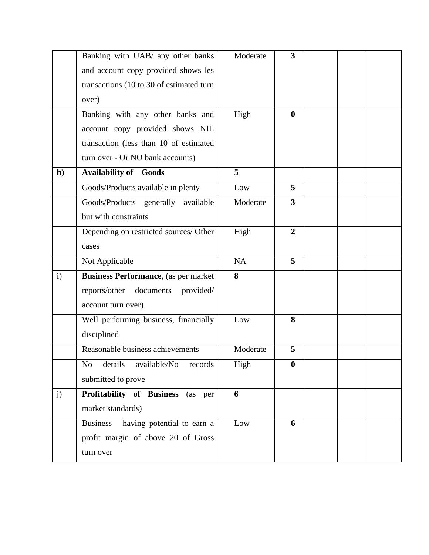|              | Banking with UAB/ any other banks             | Moderate | 3                |  |  |
|--------------|-----------------------------------------------|----------|------------------|--|--|
|              | and account copy provided shows les           |          |                  |  |  |
|              | transactions (10 to 30 of estimated turn      |          |                  |  |  |
|              | over)                                         |          |                  |  |  |
|              | Banking with any other banks and              | High     | $\bf{0}$         |  |  |
|              | account copy provided shows NIL               |          |                  |  |  |
|              | transaction (less than 10 of estimated        |          |                  |  |  |
|              | turn over - Or NO bank accounts)              |          |                  |  |  |
| h)           | <b>Availability of Goods</b>                  | 5        |                  |  |  |
|              | Goods/Products available in plenty            | Low      | 5                |  |  |
|              | Goods/Products generally available            | Moderate | $\overline{3}$   |  |  |
|              | but with constraints                          |          |                  |  |  |
|              | Depending on restricted sources/ Other        | High     | $\overline{2}$   |  |  |
|              | cases                                         |          |                  |  |  |
|              | Not Applicable                                | NA       | 5                |  |  |
| $\mathbf{i}$ | <b>Business Performance</b> , (as per market  | 8        |                  |  |  |
|              | reports/other<br>documents<br>provided/       |          |                  |  |  |
|              | account turn over)                            |          |                  |  |  |
|              | Well performing business, financially         | Low      | 8                |  |  |
|              | disciplined                                   |          |                  |  |  |
|              | Reasonable business achievements              | Moderate | 5                |  |  |
|              | No details available/No<br>records            | High     | $\boldsymbol{0}$ |  |  |
|              | submitted to prove                            |          |                  |  |  |
| j)           | Profitability of Business<br>(as per          | 6        |                  |  |  |
|              | market standards)                             |          |                  |  |  |
|              | having potential to earn a<br><b>Business</b> | Low      | 6                |  |  |
|              | profit margin of above 20 of Gross            |          |                  |  |  |
|              | turn over                                     |          |                  |  |  |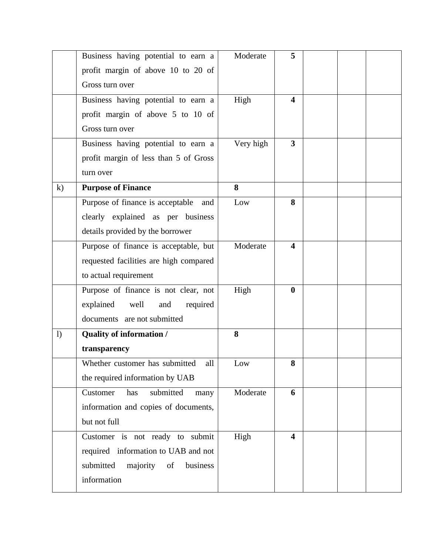|          | Business having potential to earn a     | Moderate  | 5                       |  |  |
|----------|-----------------------------------------|-----------|-------------------------|--|--|
|          | profit margin of above 10 to 20 of      |           |                         |  |  |
|          | Gross turn over                         |           |                         |  |  |
|          | Business having potential to earn a     | High      | 4                       |  |  |
|          | profit margin of above 5 to 10 of       |           |                         |  |  |
|          | Gross turn over                         |           |                         |  |  |
|          | Business having potential to earn a     | Very high | $\overline{\mathbf{3}}$ |  |  |
|          | profit margin of less than 5 of Gross   |           |                         |  |  |
|          | turn over                               |           |                         |  |  |
| $\bf k)$ | <b>Purpose of Finance</b>               | 8         |                         |  |  |
|          | Purpose of finance is acceptable and    | Low       | 8                       |  |  |
|          | clearly explained as per business       |           |                         |  |  |
|          | details provided by the borrower        |           |                         |  |  |
|          | Purpose of finance is acceptable, but   | Moderate  | 4                       |  |  |
|          | requested facilities are high compared  |           |                         |  |  |
|          | to actual requirement                   |           |                         |  |  |
|          | Purpose of finance is not clear, not    | High      | $\boldsymbol{0}$        |  |  |
|          | explained<br>well<br>required<br>and    |           |                         |  |  |
|          | documents are not submitted             |           |                         |  |  |
| 1)       | <b>Quality of information /</b>         | 8         |                         |  |  |
|          | transparency                            |           |                         |  |  |
|          | all<br>Whether customer has submitted   | Low       | 8                       |  |  |
|          | the required information by UAB         |           |                         |  |  |
|          | submitted<br>Customer<br>has<br>many    | Moderate  | 6                       |  |  |
|          | information and copies of documents,    |           |                         |  |  |
|          | but not full                            |           |                         |  |  |
|          | Customer is not ready to submit         | High      | $\overline{\mathbf{4}}$ |  |  |
|          | required information to UAB and not     |           |                         |  |  |
|          | submitted<br>majority<br>of<br>business |           |                         |  |  |
|          | information                             |           |                         |  |  |
|          |                                         |           |                         |  |  |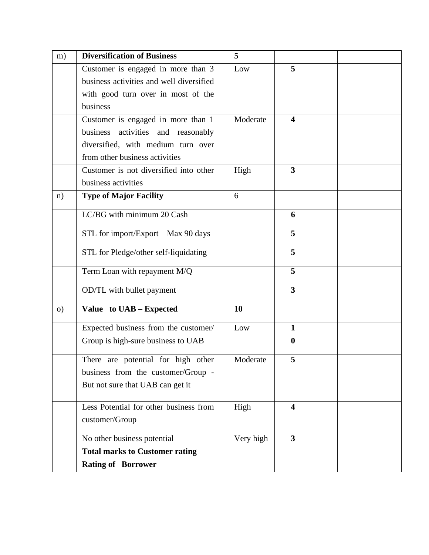| m)       | <b>Diversification of Business</b>       | 5         |                         |  |  |
|----------|------------------------------------------|-----------|-------------------------|--|--|
|          | Customer is engaged in more than 3       | Low       | 5                       |  |  |
|          | business activities and well diversified |           |                         |  |  |
|          | with good turn over in most of the       |           |                         |  |  |
|          | business                                 |           |                         |  |  |
|          | Customer is engaged in more than 1       | Moderate  | $\overline{\mathbf{4}}$ |  |  |
|          | business activities and reasonably       |           |                         |  |  |
|          | diversified, with medium turn over       |           |                         |  |  |
|          | from other business activities           |           |                         |  |  |
|          | Customer is not diversified into other   | High      | 3                       |  |  |
|          | business activities                      |           |                         |  |  |
| n)       | <b>Type of Major Facility</b>            | 6         |                         |  |  |
|          | LC/BG with minimum 20 Cash               |           | 6                       |  |  |
|          | STL for import/Export – Max 90 days      |           | 5                       |  |  |
|          | STL for Pledge/other self-liquidating    |           | 5                       |  |  |
|          | Term Loan with repayment M/Q             |           | 5                       |  |  |
|          | OD/TL with bullet payment                |           | $3^{\circ}$             |  |  |
| $\Omega$ | Value to UAB - Expected                  | 10        |                         |  |  |
|          | Expected business from the customer/     | Low       | 1                       |  |  |
|          | Group is high-sure business to UAB       |           | $\bf{0}$                |  |  |
|          | There are potential for high other       | Moderate  | 5                       |  |  |
|          | business from the customer/Group -       |           |                         |  |  |
|          | But not sure that UAB can get it         |           |                         |  |  |
|          | Less Potential for other business from   | High      | $\boldsymbol{4}$        |  |  |
|          | customer/Group                           |           |                         |  |  |
|          | No other business potential              | Very high | $\mathbf{3}$            |  |  |
|          | <b>Total marks to Customer rating</b>    |           |                         |  |  |
|          | <b>Rating of Borrower</b>                |           |                         |  |  |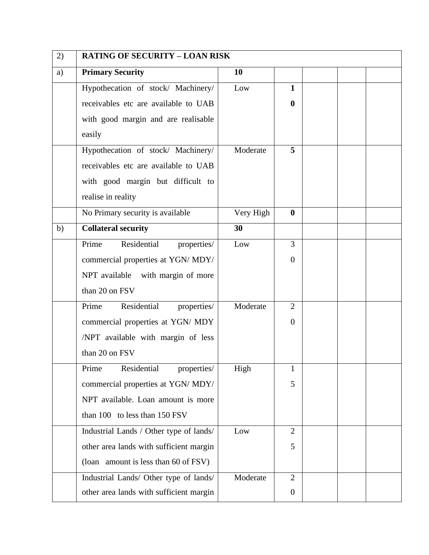| 2) | <b>RATING OF SECURITY - LOAN RISK</b>   |           |                  |  |  |
|----|-----------------------------------------|-----------|------------------|--|--|
| a) | <b>Primary Security</b>                 | 10        |                  |  |  |
|    | Hypothecation of stock/ Machinery/      | Low       | $\mathbf{1}$     |  |  |
|    | receivables etc are available to UAB    |           | $\boldsymbol{0}$ |  |  |
|    | with good margin and are realisable     |           |                  |  |  |
|    | easily                                  |           |                  |  |  |
|    | Hypothecation of stock/ Machinery/      | Moderate  | 5                |  |  |
|    | receivables etc are available to UAB    |           |                  |  |  |
|    | with good margin but difficult to       |           |                  |  |  |
|    | realise in reality                      |           |                  |  |  |
|    | No Primary security is available        | Very High | $\bf{0}$         |  |  |
| b) | <b>Collateral security</b>              | 30        |                  |  |  |
|    | Residential<br>Prime<br>properties/     | Low       | 3                |  |  |
|    | commercial properties at YGN/ MDY/      |           | $\theta$         |  |  |
|    | NPT available with margin of more       |           |                  |  |  |
|    | than 20 on FSV                          |           |                  |  |  |
|    | Prime<br>Residential<br>properties/     | Moderate  | $\overline{2}$   |  |  |
|    | commercial properties at YGN/ MDY       |           | $\overline{0}$   |  |  |
|    | /NPT available with margin of less      |           |                  |  |  |
|    | than 20 on FSV                          |           |                  |  |  |
|    | Residential<br>Prime<br>properties/     | High      | $\mathbf{1}$     |  |  |
|    | commercial properties at YGN/ MDY/      |           | 5                |  |  |
|    | NPT available. Loan amount is more      |           |                  |  |  |
|    | than 100 to less than 150 FSV           |           |                  |  |  |
|    | Industrial Lands / Other type of lands/ | Low       | $\overline{2}$   |  |  |
|    | other area lands with sufficient margin |           | 5                |  |  |
|    | (loan amount is less than 60 of FSV)    |           |                  |  |  |
|    | Industrial Lands/ Other type of lands/  | Moderate  | $\overline{2}$   |  |  |
|    | other area lands with sufficient margin |           | $\overline{0}$   |  |  |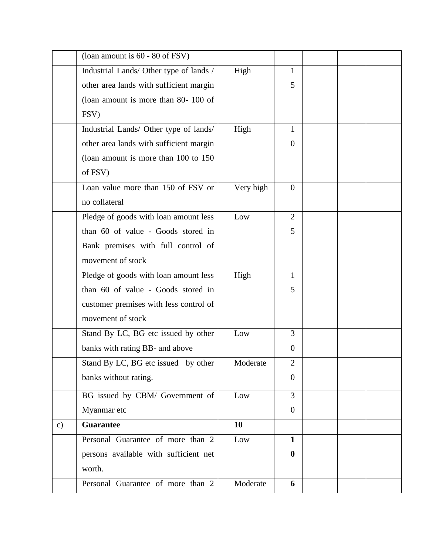|               | (loan amount is 60 - 80 of FSV)         |           |                  |  |  |
|---------------|-----------------------------------------|-----------|------------------|--|--|
|               | Industrial Lands/ Other type of lands / | High      | 1                |  |  |
|               | other area lands with sufficient margin |           | 5                |  |  |
|               | (loan amount is more than 80- 100 of    |           |                  |  |  |
|               | FSV)                                    |           |                  |  |  |
|               | Industrial Lands/ Other type of lands/  | High      | 1                |  |  |
|               | other area lands with sufficient margin |           | $\theta$         |  |  |
|               | (loan amount is more than 100 to 150)   |           |                  |  |  |
|               | of FSV)                                 |           |                  |  |  |
|               | Loan value more than 150 of FSV or      | Very high | $\overline{0}$   |  |  |
|               | no collateral                           |           |                  |  |  |
|               | Pledge of goods with loan amount less   | Low       | $\overline{2}$   |  |  |
|               | than 60 of value - Goods stored in      |           | 5                |  |  |
|               | Bank premises with full control of      |           |                  |  |  |
|               | movement of stock                       |           |                  |  |  |
|               | Pledge of goods with loan amount less   | High      | $\mathbf{1}$     |  |  |
|               | than 60 of value - Goods stored in      |           | 5                |  |  |
|               | customer premises with less control of  |           |                  |  |  |
|               | movement of stock                       |           |                  |  |  |
|               | Stand By LC, BG etc issued by other     | Low       | $\overline{3}$   |  |  |
|               | banks with rating BB- and above         |           | $\theta$         |  |  |
|               | Stand By LC, BG etc issued by other     | Moderate  | $\overline{2}$   |  |  |
|               | banks without rating.                   |           | $\overline{0}$   |  |  |
|               | BG issued by CBM/ Government of         | Low       | 3                |  |  |
|               | Myanmar etc                             |           | $\boldsymbol{0}$ |  |  |
| $\mathbf{c})$ | <b>Guarantee</b>                        | 10        |                  |  |  |
|               | Personal Guarantee of more than 2       | Low       | $\mathbf{1}$     |  |  |
|               | persons available with sufficient net   |           | $\bf{0}$         |  |  |
|               | worth.                                  |           |                  |  |  |
|               | Personal Guarantee of more than 2       | Moderate  | 6                |  |  |
|               |                                         |           |                  |  |  |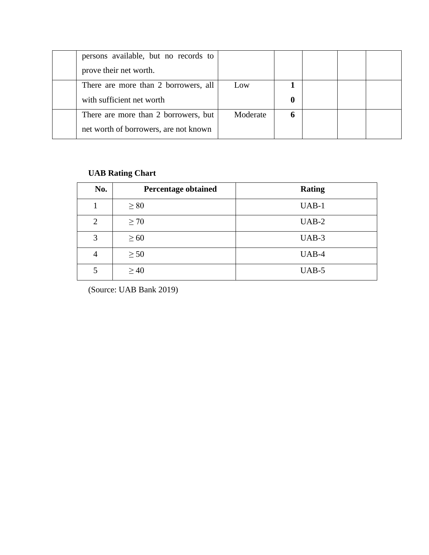| persons available, but no records to<br>prove their net worth.                |          |   |  |  |
|-------------------------------------------------------------------------------|----------|---|--|--|
| There are more than 2 borrowers, all<br>with sufficient net worth             | Low      |   |  |  |
| There are more than 2 borrowers, but<br>net worth of borrowers, are not known | Moderate | 6 |  |  |

### **UAB Rating Chart**

| No.            | <b>Percentage obtained</b> | <b>Rating</b> |
|----------------|----------------------------|---------------|
|                | $\geq 80$                  | $UAB-1$       |
| $\overline{2}$ | $\geq 70$                  | $UAB-2$       |
| 3              | $\geq 60$                  | $UAB-3$       |
| $\overline{4}$ | $\geq 50$                  | UAB-4         |
| 5              | $\geq 40$                  | $UAB-5$       |

(Source: UAB Bank 2019)